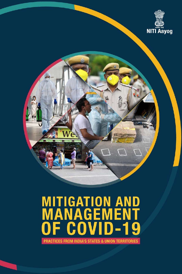

# **MITIGATION AND<br>MANAGEMENT** g F

PRACTICES FROM INDIA'S STATES & UNION TERRITORIES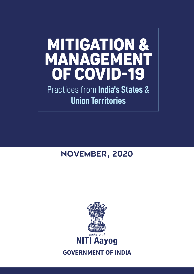# MITIGATION & MANAGEMENT OF COVID-19

Practices from **India's States** & **Union Territories**

## NOVEMBER, 2020

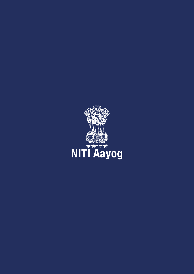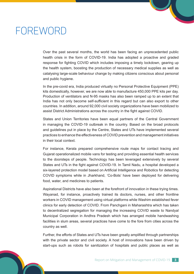## FOREWORD

Over the past several months, the world has been facing an unprecedented public health crisis in the form of COVID-19. India has adopted a proactive and graded response for fighting COVID which includes imposing a timely lockdown, gearing up the health system, boosting the production of necessary medical supplies as well as catalysing large-scale behaviour change by making citizens conscious about personal and public hygiene.

In the pre-covid era, India produced virtually no Personal Protective Equipment (PPE) kits domestically, however, we are now able to manufacture 450,000 PPE kits per day. Production of ventilators and N-95 masks has also been ramped up to an extent that India has not only become self-sufficient in this regard but can also export to other countries. In addition, around 92,000 civil society organizations have been mobilized to assist District Administrations across the country in the fight against COVID.

States and Union Territories have been equal partners of the Central Government in managing the COVID-19 outbreak in the country. Based on the broad protocols and guidelines put in place by the Centre, States and UTs have implemented several practices to enhance the effectiveness of COVID prevention and management initiatives in their local context.

For instance, Kerala prepared comprehensive route maps for contact tracing and Gujarat operationalized mobile vans for testing and providing essential health services to the doorsteps of people. Technology has been leveraged extensively by several States and UTs in the fight against COVID-19. In Tamil Nadu, a hospital developed a six-layered protection model based on Artificial Intelligence and Robotics for detecting COVID symptoms while in Jharkhand, 'Co-Bots' have been deployed for delivering food, water, and medicines to patients.

Aspirational Districts have also been at the forefront of innovation in these trying times. Wayanad, for instance, proactively trained its doctors, nurses, and other frontline workers in COVID management using virtual platforms while Washim established fever clinics for early detection of COVID. From Panchgani in Maharashtra which has taken to decentralized segregation for managing the increasing COVID waste to Nandyal Municipal Corporation in Andhra Pradesh which has arranged mobile handwashing facilities in slum areas, several practices have come to the fore from cities across the country as well.

Further, the efforts of States and UTs have been greatly amplified through partnerships with the private sector and civil society. A host of innovations have been driven by start-ups such as robots for sanitization of hospitals and public places as well as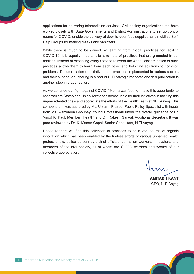applications for delivering telemedicine services. Civil society organizations too have worked closely with State Governments and District Administrations to set up control rooms for COVID, enable the delivery of door-to-door food supplies, and mobilize Self-Help Groups for making masks and sanitizers.

While there is much to be gained by learning from global practices for tackling COVID-19, it is equally important to take note of practices that are grounded in our realities. Instead of expecting every State to reinvent the wheel, dissemination of such practices allows them to learn from each other and help find solutions to common problems. Documentation of initiatives and practices implemented in various sectors and their subsequent sharing is a part of NITI Aayog's mandate and this publication is another step in that direction.

As we continue our fight against COVID-19 on a war footing, I take this opportunity to congratulate States and Union Territories across India for their initiatives in tackling this unprecedented crisis and appreciate the efforts of the Health Team at NITI Aayog. This compendium was authored by Ms. Urvashi Prasad, Public Policy Specialist with inputs from Ms. Aishwarya Choubey, Young Professional under the overall guidance of Dr. Vinod K. Paul, Member (Health) and Dr. Rakesh Sarwal, Additional Secretary. It was peer reviewed by Dr. K. Madan Gopal, Senior Consultant, NITI Aayog.

I hope readers will find this collection of practices to be a vital source of organic innovation which has been enabled by the tireless efforts of various unnamed health professionals, police personnel, district officials, sanitation workers, innovators, and members of the civil society, all of whom are COVID warriors and worthy of our collective appreciation.

**AMITABH KANT** CEO, NITI Aayog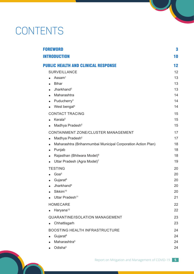## **CONTENTS**

| <b>FOREWORD</b>                                                           | 3  |
|---------------------------------------------------------------------------|----|
| <b>INTRODUCTION</b>                                                       | 10 |
| <b>PUBLIC HEALTH AND CLINICAL RESPONSE</b>                                | 12 |
| <b>SURVEILLANCE</b>                                                       | 12 |
| Assam <sup>1</sup>                                                        | 13 |
| <b>Bihar</b>                                                              | 13 |
| Jharkhand <sup>2</sup>                                                    | 13 |
| Maharashtra                                                               | 14 |
| Puducherry <sup>3</sup>                                                   | 14 |
| West bengal <sup>4</sup>                                                  | 14 |
| <b>CONTACT TRACING</b>                                                    | 15 |
| Kerala <sup>5</sup>                                                       | 15 |
| Madhya Pradesh <sup>5</sup>                                               | 15 |
| CONTAINMENT ZONE/CLUSTER MANAGEMENT                                       | 17 |
| Madhya Pradesh <sup>5</sup>                                               | 17 |
| Maharashtra (Brihanmumbai Municipal Corporation Action Plan)<br>$\bullet$ | 18 |
| Punjab<br>$\bullet$                                                       | 18 |
| Rajasthan (Bhilwara Model) <sup>6</sup>                                   | 18 |
| Uttar Pradesh (Agra Model) <sup>7</sup>                                   | 19 |
| <b>TESTING</b>                                                            | 20 |
| Goa <sup>5</sup>                                                          | 20 |
| Gujarat <sup>8</sup>                                                      | 20 |
| <b>Jharkhand</b> <sup>9</sup>                                             | 20 |
| Sikkim <sup>10</sup><br>$\bullet$                                         | 20 |
| Uttar Pradesh <sup>11</sup>                                               | 21 |
| <b>HOMECARE</b>                                                           | 22 |
| Haryana <sup>12</sup>                                                     | 22 |
| <b>QUARANTINE/ISOLATION MANAGEMENT</b>                                    | 23 |
| Chhattisgarh                                                              | 23 |
| <b>BOOSTING HEALTH INFRASTRUCTURE</b>                                     | 24 |
| Gujarat <sup>8</sup>                                                      | 24 |
| Maharashtra <sup>5</sup>                                                  | 24 |
| Odisha <sup>5</sup>                                                       | 24 |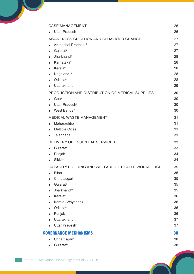| <b>CASE MANAGEMENT</b>                                                                                                                                                                                                                                          | 26                                                             |
|-----------------------------------------------------------------------------------------------------------------------------------------------------------------------------------------------------------------------------------------------------------------|----------------------------------------------------------------|
| <b>Uttar Pradesh</b>                                                                                                                                                                                                                                            | 26                                                             |
| AWARENESS CREATION AND BEHAVIOUR CHANGE<br>Arunachal Pradesh <sup>13</sup><br>Gujarat <sup>8</sup><br>$\bullet$<br>Jharkhand <sup>5</sup><br>Karnataka <sup>5</sup><br><b>Kerala</b> <sup>6</sup><br>Nagaland <sup>13</sup><br>$\bullet$<br>Odisha <sup>5</sup> | 27<br>27<br>27<br>28<br>28<br>28<br>28                         |
| Uttarakhand                                                                                                                                                                                                                                                     | 28<br>29                                                       |
| PRODUCTION AND DISTRIBUTION OF MEDICAL SUPPLIES<br>Goa <sup>5</sup><br>Uttar Pradesh <sup>6</sup><br>West Bengal <sup>4</sup>                                                                                                                                   | 30<br>30<br>30<br>30                                           |
| <b>MEDICAL WASTE MANAGEMENT<sup>14</sup></b><br>Maharashtra<br><b>Multiple Cities</b><br>Telangana                                                                                                                                                              | 31<br>31<br>31<br>31                                           |
| DELIVERY OF ESSENTIAL SERVICES<br>Gujarat <sup>15</sup><br>$\bullet$<br>Punjab<br><b>Sikkim</b>                                                                                                                                                                 | 33<br>33<br>34<br>34                                           |
| CAPACITY BUILDING AND WELFARE OF HEALTH WORKFORCE<br><b>Bihar</b><br>Chhattisgarh<br>Gujarat <sup>8</sup><br>Jharkhand <sup>16</sup><br>Kerala <sup>6</sup><br>Kerala (Wayanad)<br>Odisha <sup>5</sup><br>Punjab<br>Uttarakhand<br>Uttar Pradesh <sup>7</sup>   | 35<br>35<br>35<br>35<br>35<br>36<br>36<br>36<br>36<br>37<br>37 |
| <b>GOVERNANCE MECHANISMS</b>                                                                                                                                                                                                                                    | 38                                                             |
| Chhattisgarh<br>Gujarat <sup>11</sup><br>$\bullet$                                                                                                                                                                                                              | 38<br>38                                                       |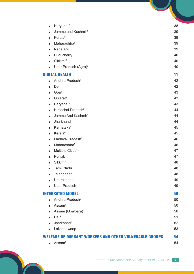| Haryana <sup>12</sup>                                         | 38 |
|---------------------------------------------------------------|----|
| Jammu and Kashmir <sup>4</sup>                                | 39 |
| Kerala <sup>6</sup>                                           | 39 |
| Maharashtra <sup>5</sup>                                      | 39 |
| Nagaland                                                      | 39 |
| Puducherry <sup>3</sup>                                       | 40 |
| Sikkim <sup>10</sup>                                          | 40 |
| Uttar Pradesh (Agra) <sup>6</sup>                             | 40 |
| <b>DIGITAL HEALTH</b>                                         | 41 |
| Andhra Pradesh <sup>6</sup>                                   | 42 |
| Delhi                                                         | 42 |
| Goa <sup>5</sup>                                              | 43 |
| Gujarat <sup>8</sup>                                          | 43 |
| Haryana <sup>12</sup>                                         | 43 |
| Himachal Pradesh <sup>6</sup>                                 | 44 |
| Jammu And Kashmir <sup>4</sup>                                | 44 |
| Jharkhand                                                     | 44 |
| Karnataka <sup>5</sup>                                        | 45 |
| Kerala <sup>6</sup>                                           | 45 |
| Madhya Pradesh <sup>6</sup>                                   | 46 |
| Maharashtra <sup>5</sup>                                      | 46 |
| Multiple Cities <sup>14</sup>                                 | 47 |
| Punjab                                                        | 47 |
| Sikkim <sup>5</sup>                                           | 48 |
| <b>Tamil Nadu</b>                                             | 48 |
| Telangana <sup>6</sup>                                        | 48 |
| Uttarakhand                                                   | 49 |
| <b>Uttar Pradesh</b>                                          | 49 |
| <b>INTEGRATED MODEL</b>                                       | 50 |
| Andhra Pradesh <sup>6</sup>                                   | 50 |
| Assam <sup>1</sup>                                            | 50 |
| Assam (Goalpara) <sup>1</sup>                                 | 50 |
| Delhi                                                         | 51 |
| Jharkhand <sup>5</sup>                                        | 52 |
| Lakshadweep                                                   | 53 |
| <b>WELFARE OF MIGRANT WORKERS AND OTHER VULNERABLE GROUPS</b> | 54 |
| Assam <sup>1</sup><br>$\bullet$                               | 54 |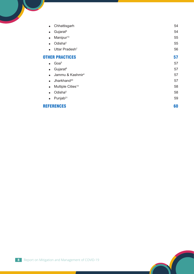| Chhattisgarh<br>$\bullet$                  | 54 |
|--------------------------------------------|----|
| Gujarat <sup>8</sup><br>$\bullet$          | 54 |
| Manipur <sup>13</sup><br>$\bullet$         | 55 |
| Odisha <sup>5</sup><br>$\bullet$           | 55 |
| Uttar Pradesh <sup>7</sup><br>$\bullet$    | 56 |
| <b>OTHER PRACTICES</b>                     | 57 |
| Goa <sup>5</sup><br>$\bullet$              | 57 |
| Gujarat <sup>8</sup><br>$\bullet$          | 57 |
| Jammu & Kashmir <sup>4</sup><br>$\bullet$  | 57 |
| Jharkhand <sup>20</sup><br>$\bullet$       | 57 |
| Multiple Cities <sup>14</sup><br>$\bullet$ | 58 |
| Odisha <sup>5</sup><br>$\bullet$           | 58 |
| Punjab <sup>21</sup><br>$\bullet$          | 59 |
| <b>REFERENCES</b>                          | 60 |
|                                            |    |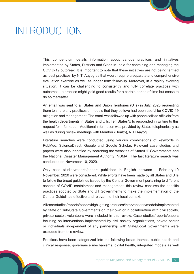## INTRODUCTION

This compendium details information about various practices and initiatives implemented by States, Districts and Cities in India for containing and managing the COVID-19 outbreak. It is important to note that these initiatives are not being termed as 'best practices' by NITI Aayog as that would require a separate and comprehensive evaluation exercise as well as longer term follow-up. Moreover, in a rapidly evolving situation, it can be challenging to consistently and fully correlate practices with outcomes - a practice might yield good results for a certain period of time but cease to do so thereafter.

An email was sent to all States and Union Territories (UTs) in July, 2020 requesting them to share any practices or models that they believe had been useful for COVID-19 mitigation and management. The email was followed up with phone calls to officials from the health departments in States and UTs. Ten States/UTs responded in writing to this request for information. Additional information was provided by States telephonically as well as during review meetings with Member (Health), NITI Aayog.

Literature searches were conducted using various combinations of keywords in PubMed, ScienceDirect, Google and Google Scholar. Relevant case studies and papers were also identified by searching the websites of State/UT Governments and the National Disaster Management Authority (NDMA). The last literature search was conducted on November 10, 2020.

Only case studies/reports/papers published in English between 1 February-10 November, 2020 were considered. While efforts have been made by all States and UTs to follow the broad guidelines issued by the Central Government pertaining to different aspects of COVID containment and management, this review captures the specific practices adopted by State and UT Governments to make the implementation of the Central Guidelines effective and relevant to their local context.

All case studies/reports/papers highlighting practices/interventions/models implemented by State or Sub-State Governments on their own or in collaboration with civil society, private sector, volunteers were included in this review. Case studies/reports/papers focusing on interventions implemented by civil society organizations, private sector or individuals independent of any partnership with State/Local Governments were excluded from this review.

Practices have been categorized into the following broad themes: public health and clinical response, governance mechanisms, digital health, integrated models as well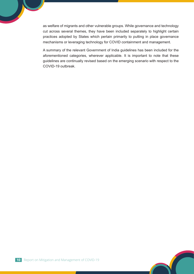as welfare of migrants and other vulnerable groups. While governance and technology cut across several themes, they have been included separately to highlight certain practices adopted by States which pertain primarily to putting in place governance mechanisms or leveraging technology for COVID containment and management.

A summary of the relevant Government of India guidelines has been included for the aforementioned categories, wherever applicable. It is important to note that these guidelines are continually revised based on the emerging scenario with respect to the COVID-19 outbreak.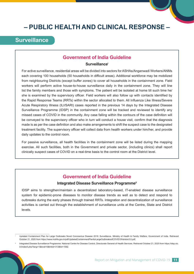## **– PUBLIC HEALTH AND CLINICAL RESPONSE –**

## **Surveillance**

#### **Government of India Guideline**

#### **Surveillancei**

For active surveillance, residential areas will be divided into sectors for ASHAs/Anganwadi Workers/ANMs each covering 100 households (50 households in difficult areas). Additional workforce may be mobilized from neighbouring Districts (except buffer zones) to cover all households in the containment zone. Field workers will perform active house-to-house surveillance daily in the containment zone. They will line list the family members and those with symptoms. The patient will be isolated at home till such time he/ she is examined by the supervisory officer. Field workers will also follow up with contacts identified by the Rapid Response Teams (RRTs) within the sector allocated to them. All Influenza Like Illness/Severe Acute Respiratory Illness (ILI/SARI) cases reported in the previous 14 days by the Integrated Disease Surveillance Programme (IDSP) in the containment zone will be tracked and reviewed to identify any missed cases of COVID in the community. Any case falling within the contours of the case definition will be conveyed to the supervisory officer who in turn will conduct a house visit, confirm that the diagnosis made is as per the case definition and also make arrangements to shift the suspect case to the designated treatment facility. The supervisory officer will collect data from health workers under him/her, and provide daily updates to the control room.

For passive surveillance, all health facilities in the containment zone will be listed during the mapping exercise. All such facilities, both in the Government and private sector, (including clinics) shall report clinically suspect cases of COVID on a real-time basis to the control room at the District level.

#### **Government of India Guideline**

#### **Integrated Disease Surveillance Programmeii**

IDSP aims to strengthen/maintain a decentralized laboratory-based, IT-enabled disease surveillance system for epidemic-prone diseases to monitor disease trends as well as to detect and respond to outbreaks during the early phases through trained RRTs. Integration and decentralization of surveillance activities is carried out through the establishment of surveillance units at the Centre, State and District levels.

Updated Containment Plan for Large Outbreaks Novel Coronavirus Disease 2019: Surveillance. Ministry of Health & Family Welfare, Government of India. Retrieved October 21, 2020 from https://www.mohfw.gov.in/pdf/UpdatedContainmentPlanforLargeOutbreaksofCOVID19Version3.0.pdf.

Integrated Disease Surveillance Programme. National Centre for Disease Control, Directorate General of Health Services. Retrieved October 21, 2020 from https://idsp.nic. in/index4.php?lang=1&level=0&linkid=313&lid=1592.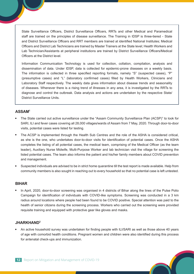State Surveillance Officers, District Surveillance Officers, RRTs and other Medical and Paramedical staff are trained on the principles of disease surveillance. The Training in IDSP is three-tiered - State and District Surveillance Officers and RRT members are trained at identified National Institutes; Medical Officers and District Lab Technicians are trained by Master Trainers at the State level; Health Workers and Lab Technician/Assistants at peripheral institutions are trained by District Surveillance Officers/Medical Officers at the District level.

Information Communication Technology is used for collection, collation, compilation, analysis and dissemination of data. Under IDSP, data is collected for epidemic-prone diseases on a weekly basis. The information is collected in three specified reporting formats, namely "S" (suspected cases), "P" (presumptive cases) and "L" (laboratory confirmed cases) filled by Health Workers, Clinicians and Laboratory Staff respectively. The weekly data gives information about disease trends and seasonality of diseases. Whenever there is a rising trend of illnesses in any area, it is investigated by the RRTs to diagnose and control the outbreak. Data analysis and actions are undertaken by the respective State/ District Surveillance Units.

#### **ASSAM1**

- The State carried out active surveillance under the "Assam Community Surveillance Plan (ACSP)" to look for SARI, ILI and fever cases covering all 28,000 villages/wards of Assam from 7 May, 2020. Through door-to-door visits, potential cases were listed for testing.
- The ACSP is implemented through the Health Sub Centres and the role of the ASHA is considered critical, as she is the one, who undertakes door-to-door visits for identification of potential cases. Once the ASHA completes the listing of all potential cases, the medical team, comprising of the Medical Officer (as the team leader), Auxiliary Nurse Midwife, Multi-Purpose Worker and lab technician visit the village for screening the listed potential cases. The team also informs the patient and his/her family members about COVID prevention and management.
- Suspected individuals are advised to be in strict home quarantine till the test report is made available. Help from community members is also sought in reaching out to every household so that no potential case is left untested.

#### **BIHAR**

 In April, 2020, door-to-door screening was organised in 4 districts of Bihar along the lines of the Pulse Polio Campaign for identification of individuals with COVID-like symptoms. Screening was conducted in a 3 km radius around locations where people had been found to be COVID positive. Special attention was paid to the health of senior citizens during the screening process. Workers who carried out the screening were provided requisite training and equipped with protective gear like gloves and masks.

#### **JHARKHAND2**

 An active household survey was undertaken for finding people with ILI/SARI as well as those above 40 years of age with comorbid health conditions. Pregnant women and children were also identified during this process for antenatal check-ups and immunization.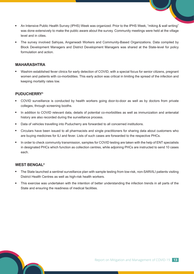- An Intensive Public Health Survey (IPHS) Week was organized. Prior to the IPHS Week, "miking & wall writing" was done extensively to make the public aware about the survey. Community meetings were held at the village level and in cities.
- The survey involved Sahiyas, Anganwadi Workers and Community-Based Organizations. Data compiled by Block Development Managers and District Development Managers was shared at the State-level for policy formulation and action.

#### **MAHARASHTRA**

 Washim established fever clinics for early detection of COVID, with a special focus for senior citizens, pregnant women and patients with co-morbidities. This early action was critical in limiting the spread of the infection and keeping mortality rates low.

#### **PUDUCHERRY3**

- COVID surveillance is conducted by health workers going door-to-door as well as by doctors from private colleges, through screening booths.
- In addition to COVID relevant data, details of potential co-morbidities as well as immunization and antenatal history are also recorded during the surveillance process.
- Data of vehicles travelling into Puducherry are forwarded to all concerned institutions.
- Circulars have been issued to all pharmacists and single practitioners for sharing data about customers who are buying medicines for ILI and fever. Lists of such cases are forwarded to the respective PHCs.
- In order to check community transmission, samples for COVID testing are taken with the help of ENT specialists in designated PHCs which function as collection centres, while adjoining PHCs are instructed to send 10 cases each.

#### **WEST BENGAL4**

- The State launched a sentinel surveillance plan with sample testing from low-risk, non-SARI/ILI patients visiting District Health Centres as well as high-risk health workers.
- This exercise was undertaken with the intention of better understanding the infection trends in all parts of the State and ensuring the readiness of medical facilities.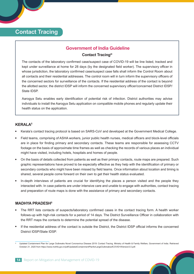## **Contact Tracing**

#### **Government of India Guideline**

#### **Contact Tracingiii**

The contacts of the laboratory confirmed case/suspect case of COVID-19 will be line listed, tracked and kept under surveillance at home for 28 days (by the designated field worker). The supervisory officer in whose jurisdiction, the laboratory confirmed case/suspect case falls shall inform the Control Room about all contacts and their residential addresses. The control room will in turn inform the supervisory officers of the concerned sectors for surveillance of the contacts. If the residential address of the contact is beyond the allotted sector, the district IDSP will inform the concerned supervisory officer/concerned District IDSP/ State IDSP.

Aarogya Setu enables early identification of potential risk of infection. District authorities may advise individuals to install the Aarogya Setu application on compatible mobile phones and regularly update their health status on the application.

#### **KERALA5**

- Kerala's contact tracing protocol is based on SARS-CoV and developed at the Government Medical College.
- Field teams, comprising of ASHA workers, junior public health nurses, medical officers and block-level officials are in place for finding primary and secondary contacts. These teams are responsible for assessing CCTV footage on the basis of approximate time frames as well as checking the records of various places an individual might have visited, including hotels, hospitals and homes of people.
- On the basis of details collected from patients as well as their primary contacts, route maps are prepared. Such graphic representations have proved to be especially effective as they help with the identification of primary or secondary contacts who might have been missed by field teams. Once information about location and timing is shared, several people come forward on their own to get their health status evaluated.
- In-depth interviews of patients are crucial for identifying the places a person visited and the people they interacted with. In case patients are under intensive care and unable to engage with authorities, contact tracing and preparation of route maps is done with the assistance of primary and secondary contacts.

#### **MADHYA PRADESH5**

- The RRT lists contacts of suspects/laboratory confirmed cases in the contact tracing form. A health worker follows-up with high-risk contacts for a period of 14 days. The District Surveillance Officer in collaboration with the RRT maps the contacts to determine the potential spread of the disease.
- If the residential address of the contact is outside the District, the District IDSP official informs the concerned District IDSP/State IDSP.

Updated Containment Plan for Large Outbreaks Novel Coronavirus Disease 2019: Contact Tracing. Ministry of Health & Family Welfare, Government of India. Retrieved October 21, 2020 from https://www.mohfw.gov.in/pdf/UpdatedContainmentPlanforLargeOutbreaksofCOVID19Version3.0.pdf.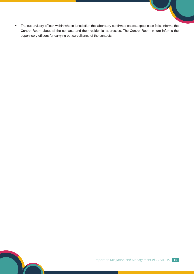The supervisory officer, within whose jurisdiction the laboratory confirmed case/suspect case falls, informs the Control Room about all the contacts and their residential addresses. The Control Room in turn informs the supervisory officers for carrying out surveillance of the contacts.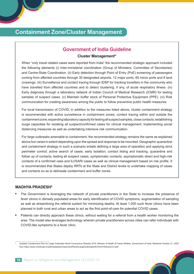## **Containment Zone/Cluster Management**

#### **Government of India Guideline**

#### **Cluster Managementiv**

When "only travel related cases were reported from India" the recommended strategic approach included the following elements (i) Inter-ministerial coordination (Group of Ministers, Committee of Secretaries) and Centre-State Coordination. (ii) Early detection through Point of Entry (PoE) screening of passengers coming from affected countries through 30 designated airports, 12 major ports, 65 minor ports and 8 land crossings. (iii) Surveillance and contact tracing through IDSP for tracking travellers in the community who have travelled from affected countries and to detect clustering, if any, of acute respiratory illness. (iv) Early diagnosis through a laboratory network of Indian Council of Medical Research (ICMR) for testing samples of suspect cases. (v) Maintain buffer stock of Personal Protective Equipment (PPE). (vi) Risk communication for creating awareness among the public to follow preventive public health measures.

For local transmission of COVID, in addition to the measures listed above, cluster containment strategy is recommended with active surveillance in containment zones; contact tracing within and outside the containment zone; expanding laboratory capacity for testing all suspect samples, close contacts; establishing surge capacities for isolating all suspect/confirmed cases for clinical management; implementing social distancing measures as well as undertaking intensive risk communication.

For large outbreaks amenable to containment, the recommended strategy remains the same as explained above but varies in extent depending upon the spread and response to be mounted. Geographic quarantine and containment strategy in such a scenario entails defining a large area of operation and applying strict perimeter control; active search of cases; early isolation; contact listing and tracking, quarantine and follow up of contacts; testing all suspect cases, symptomatic contacts, asymptomatic direct and high-risk contacts of a confirmed case and ILI/SARI cases as well as clinical management based on risk profile. It is recommended that States deploy RRTs at the State and District levels to undertake mapping of cases and contacts so as to delineate containment and buffer zones.

#### **MADHYA PRADESH5**

- The Government is leveraging the network of private practitioners in the State to increase the presence of fever clinics in densely populated areas for early identification of COVID symptoms, augmentation of sampling as well as streamlining the referral system for minimizing deaths. At least 1,000 such fever clinics have been planned in both rural and urban areas to act as the first point-of-care for potential COVID cases.
- Patients can directly approach these clinics, without waiting for a referral from a health worker monitoring the area. The model also leverages technology wherein private practitioners across cities can refer individuals with COVID-like symptoms to a fever clinic.

Updated Containment Plan for Large Outbreaks Novel Coronavirus Disease 2019. Ministry of Health & Family Welfare, Government of India. Retrieved October 21, 2020 from https://www.mohfw.gov.in/pdf/UpdatedContainmentPlanforLargeOutbreaksofCOVID19Version3.0.pdf.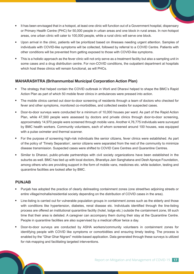- It has been envisaged that in a hotspot, at least one clinic will function out of a Government hospital, dispensary or Primary Health Centre (PHC) for 50,000 people in urban areas and one block in rural areas. In non-hotspot areas, one urban clinic will cater to 100,000 people, while a rural clinic will serve one block.
- Upon arrival in the clinic, patients will be prioritized based on illnesses needing urgent attention. Samples of individuals with COVID-like symptoms will be collected, followed by referral to a COVID Centre. Patients with other conditions will be prevented from getting exposed to those with COVID-like symptoms.
- This is a holistic approach as the fever clinic will not only serve as a treatment facility but also a sampling unit in some cases and a drug distribution centre. For non-COVID conditions, the outpatient department at hospitals which host these clinics will remain functional, as will PHCs.

#### **MAHARASHTRA (Brihanmumbai Municipal Corporation Action Plan)**

- The strategy that helped contain the COVID outbreak in Worli and Dharavi helped to shape the BMC's Rapid Action Plan as part of which 50 mobile fever clinics in ambulances were pressed into action.
- The mobile clinics carried out door-to-door screening of residents through a team of doctors who checked for fever and other symptoms, monitored co-morbidities, and collected swabs for suspected cases.
- Door-to-door surveys were conducted for a minimum of 10,000 houses per ward. As part of the Rapid Action Plan, while 47,500 people were assessed by doctors and private clinics through door-to-door screening, approximately 14,970 people were screened through mobile vans. Another 4,76,775 individuals were surveyed by BMC health workers. Community volunteers, each of whom screened around 100 houses, was equipped with a pulse oximeter and thermal scanner.
- For the purpose of screening high-risk individuals like senior citizens, fever clinics were established. As part of the policy of 'Timely Separation', senior citizens were separated from the rest of the community to minimize disease transmission. Suspected cases were shifted to COVID Care Centres and Quarantine Centres.
- Similar to Dharavi, public-private partnerships with civil society organizations have been established in the suburbs as well. BMC has tied up with local doctors, Bharatiya Jain Sanghatana and Desh Apnaye Foundation, among others who are providing support in the form of mobile vans, medicines etc. while isolation, testing and quarantine facilities are looked after by BMC.

#### **PUNJAB**

- Punjab has adopted the practice of clearly delineating containment zones (one street/two adjoining streets or entire village/mohalla/residential society depending on the distribution of COVID cases in the area).
- Line-listing is carried out for vulnerable population groups in containment zones such as the elderly and those with conditions like hypertension, diabetes, renal disease etc. Individuals identified through the line-listing process are offered an institutional quarantine facility (hotel, lodge etc.) outside the containment zone, till such time that their area is delisted. A caregiver can accompany them during their stay at the Quarantine Centre. People in quarantine facilities are also supervised by a medical officer twice a day.
- Door-to-door surveys are conducted by ASHA workers/community volunteers in containment zones for identifying people with COVID like symptoms or comorbidities and ensuring timely testing. The process is enabled by the "Ghar Ghar Nigrani" mobile-based application. Data generated through these surveys is utilized for risk-mapping and facilitating targeted interventions.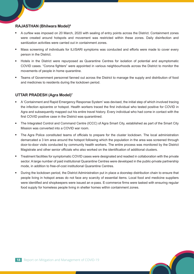#### **RAJASTHAN (Bhilwara Model)6**

- A curfew was imposed on 20 March, 2020 with sealing of entry points across the District. Containment zones were created around hotspots and movement was restricted within these zones. Daily disinfection and sanitization activities were carried out in containment zones.
- Mass screening of individuals for ILI/SARI symptoms was conducted and efforts were made to cover every person in the District.
- Hotels in the District were repurposed as Quarantine Centres for isolation of potential and asymptomatic COVID cases. "Corona fighters" were appointed in various neighbourhoods across the District to monitor the movements of people in home quarantine.
- Teams of Government personnel fanned out across the District to manage the supply and distribution of food and medicines to residents during the lockdown period.

#### **UTTAR PRADESH (Agra Model)7**

- A 'Containment and Rapid Emergency Response System' was devised, the initial step of which involved tracing the infection epicentre or hotspot. Health workers traced the first individual who tested positive for COVID in Agra and subsequently mapped out his entire travel history. Every individual who had come in contact with the first COVID positive case in the District was quarantined.
- The Integrated Control and Command Centre (ICCC) of Agra Smart City, established as part of the Smart City Mission was converted into a COVID war room.
- The Agra Police constituted teams of officials to prepare for the cluster lockdown. The local administration demarcated a 3 km area around the hotspot following which the population in the area was screened through door-to-door visits conducted by community health workers. The entire process was monitored by the District Magistrate and other senior officials who also worked on the identification of additional clusters.
- Treatment facilities for symptomatic COVID cases were designated and readied in collaboration with the private sector. A large number of paid institutional Quarantine Centres were developed in the public-private partnership mode, in addition to free-of-cost institutional Quarantine Centres.
- During the lockdown period, the District Administration put in place a doorstep distribution chain to ensure that people living in hotspot areas do not face any scarcity of essential items. Local food and medicine suppliers were identified and shopkeepers were issued an e-pass. E-commerce firms were tasked with ensuring regular food supply for homeless people living in shelter homes within containment zones.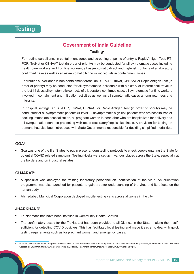## **Testing**

### **Government of India Guideline Testingv**

For routine surveillance in containment zones and screening at points of entry, a Rapid Antigen Test, RT-PCR, TruNat or CBNAAT test (in order of priority) may be conducted for all symptomatic cases including health care workers and frontline workers; all asymptomatic direct and high-risk contacts of a laboratory confirmed case as well as all asymptomatic high-risk individuals in containment zones.

For routine surveillance in non-containment areas, an RT-PCR, TruNat, CBNAAT or Rapid Antigen Test (in order of priority) may be conducted for all symptomatic individuals with a history of international travel in the last 14 days; all symptomatic contacts of a laboratory confirmed case; all symptomatic frontline workers involved in containment and mitigation activities as well as all symptomatic cases among returnees and migrants.

In hospital settings, an RT-PCR, TruNat, CBNAAT or Rapid Antigen Test (in order of priority) may be conducted for all symptomatic patients (ILI/SARI), asymptomatic high-risk patients who are hospitalized or seeking immediate hospitalization, all pregnant women in/near labor who are hospitalized for delivery and all symptomatic neonates presenting with acute respiratory/sepsis like illness. A provision for testing on demand has also been introduced with State Governments responsible for deciding simplified modalities.

#### **GOA5**

 Goa was one of the first States to put in place random testing protocols to check people entering the State for potential COVID related symptoms. Testing kiosks were set up in various places across the State, especially at the borders and on industrial estates.

#### **GUJARAT8**

- A specialist was deployed for training laboratory personnel on identification of the virus. An orientation programme was also launched for patients to gain a better understanding of the virus and its effects on the human body.
- Ahmedabad Municipal Corporation deployed mobile testing vans across all zones in the city.

#### **JHARKHAND9**

- TruNat machines have been installed in Community Health Centres.
- The confirmatory assay for the TruNat test has been provided to all Districts in the State, making them selfsufficient for detecting COVID positives. This has facilitated local testing and made it easier to deal with quick testing requirements such as for pregnant women and emergency cases.

Updated Containment Plan for Large Outbreaks Novel Coronavirus Disease 2019: Laboratory Support. Ministry of Health & Family Welfare, Government of India. Retrieved October 21, 2020 from https://www.mohfw.gov.in/pdf/UpdatedContainmentPlanforLargeOutbreaksofCOVID19Version3.0.pdf.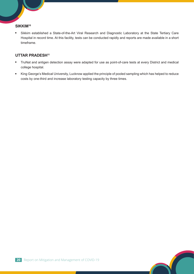#### **SIKKIM10**

 Sikkim established a State-of-the-Art Viral Research and Diagnostic Laboratory at the State Tertiary Care Hospital in record time. At this facility, tests can be conducted rapidly and reports are made available in a short timeframe.

#### **UTTAR PRADESH<sup>11</sup>**

- TruNat and antigen detection assay were adapted for use as point-of-care tests at every District and medical college hospital.
- King George's Medical University, Lucknow applied the principle of pooled sampling which has helped to reduce costs by one-third and increase laboratory testing capacity by three times.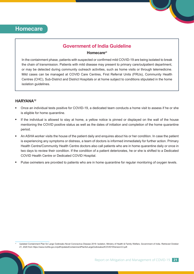### **Homecare**

#### **Government of India Guideline**

#### **Homecarevi**

In the containment phase, patients with suspected or confirmed mild COVID-19 are being isolated to break the chain of transmission. Patients with mild disease may present to primary care/outpatient department, or may be detected during community outreach activities, such as home visits or through telemedicine. Mild cases can be managed at COVID Care Centres, First Referral Units (FRUs), Community Health Centres (CHC), Sub-District and District Hospitals or at home subject to conditions stipulated in the home isolation quidelines.

#### **HARYANA12**

- Once an individual tests positive for COVID-19, a dedicated team conducts a home visit to assess if he or she is eligible for home quarantine.
- If the individual is allowed to stay at home, a yellow notice is pinned or displayed on the wall of the house mentioning the COVID positive status as well as the dates of initiation and completion of the home quarantine period.
- An ASHA worker visits the house of the patient daily and enquires about his or her condition. In case the patient is experiencing any symptoms or distress, a team of doctors is informed immediately for further action. Primary Health Centre/Community Health Centre doctors also call patients who are in home quarantine daily or once in two days to review their condition. If the condition of a patient deteriorates, he or she is shifted to a Dedicated COVID Health Centre or Dedicated COVID Hospital.
- Pulse oximeters are provided to patients who are in home quarantine for regular monitoring of oxygen levels.

Updated Containment Plan for Large Outbreaks Novel Coronavirus Disease 2019: Isolation. Ministry of Health & Family Welfare, Government of India. Retrieved October 21, 2020 from https://www.mohfw.gov.in/pdf/UpdatedContainmentPlanforLargeOutbreaksofCOVID19Version3.0.pdf.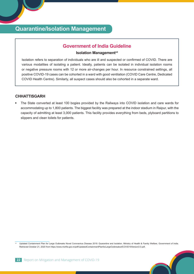## **Quarantine/Isolation Management**

#### **Government of India Guideline**

#### **Isolation Management**<sup>vii</sup>

Isolation refers to separation of individuals who are ill and suspected or confirmed of COVID. There are various modalities of isolating a patient. Ideally, patients can be isolated in individual isolation rooms or negative pressure rooms with 12 or more air-changes per hour. In resource constrained settings, all positive COVID-19 cases can be cohorted in a ward with good ventilation (COVID Care Centre, Dedicated COVID Health Centre). Similarly, all suspect cases should also be cohorted in a separate ward.

#### **CHHATTISGARH**

 The State converted at least 100 bogies provided by the Railways into COVID isolation and care wards for accommodating up to 1,800 patients. The biggest facility was prepared at the indoor stadium in Raipur, with the capacity of admitting at least 3,000 patients. This facility provides everything from beds, plyboard partitions to slippers and clean toilets for patients.

Updated Containment Plan for Large Outbreaks Novel Coronavirus Disease 2019: Quarantine and Isolation. Ministry of Health & Family Welfare, Government of India. Retrieved October 21, 2020 from https://www.mohfw.gov.in/pdf/UpdatedContainmentPlanforLargeOutbreaksofCOVID19Version3.0.pdf.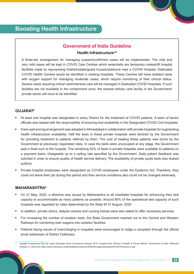## **Boosting Health Infrastructure**

#### **Government of India Guideline**

#### **Health Infrastructureviii**

A three-tier arrangement for managing suspect/confirmed cases will be implemented. The mild and very mild cases will be kept in COVID Care Centres which essentially are temporary makeshift hospital facilities made by repurposing hotels/hostels/guest houses/stadiums near a COVID Hospital. Dedicated COVID Health Centres would be identified in existing hospitals. These Centres will have isolation beds with oxygen support for managing moderate cases, which require monitoring of their clinical status. Severe cases requiring critical care/intensive care will be managed in Dedicated COVID Hospitals. If such facilities are not available in the containment zone, the nearest tertiary care facility in the Government/ private sector will have to be identified.

#### **GUJARAT8**

- At least one hospital was designated in every District for the treatment of COVID patients. A team of senior officials was tasked with the responsibility of ensuring bed availability in the Designated COVID Civil Hospitals.
- A two-part pricing arrangement was adopted in Ahmedabad in collaboration with private hospitals for augmenting health infrastructure availability. Half the beds in these private hospitals were blocked by the Government for providing treatment to patients referred by them. The cost of treating these patients was borne by the Government at previously negotiated rates. In case the beds were unoccupied at any stage, the Government paid a fixed sum to the hospital. The remaining 50% of beds in private hospitals were available to patients on a payment basis, chargeable up to a ceiling rate specified by the Government. Daily patient feedback was solicited in order to ensure quality of health service delivery. The availability of private quota beds was shared publicly.
- Private hospital employees were designated as COVID employees under the Epidemic Act. Therefore, they could not leave their job during this period and their service conditions also could not be changed adversely.

#### **MAHARASHTRA5**

- On 21 May, 2020, a directive was issued by Maharashtra to all charitable hospitals for enhancing their bed capacity to accommodate as many patients as possible. Around 80% of the operational bed capacity of such hospitals was regulated by rates determined by the State till 31 August, 2020.
- In addition, private clinics, dialysis centres and nursing homes were also asked to offer necessary services.
- For increasing the number of isolation beds, the State Government reached out to the Central and Western Railways for converting train wagons into isolation facilities.
- Patients facing issues of overcharging in hospitals were encouraged to lodge a complaint through the official email addresses of District Collectors.

Updated Containment Plan for Large Outbreaks Novel Coronavirus Disease 2019: Hospital Care. Ministry of Health & Family Welfare, Government of India. Retrieved October 21, 2020 from https://www.mohfw.gov.in/pdf/UpdatedContainmentPlanforLargeOutbreaksofCOVID19Version3.0.pdf.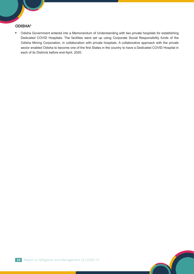#### **ODISHA5**

 Odisha Government entered into a Memorandum of Understanding with two private hospitals for establishing Dedicated COVID Hospitals. The facilities were set up using Corporate Social Responsibility funds of the Odisha Mining Corporation, in collaboration with private hospitals. A collaborative approach with the private sector enabled Odisha to become one of the first States in the country to have a Dedicated COVID Hospital in each of its Districts before end-April, 2020.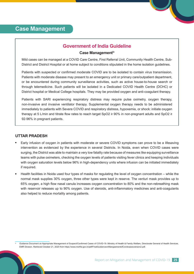#### **Government of India Guideline**

#### **Case Managementix**

Mild cases can be managed at a COVID Care Centre, First Referral Unit, Community Health Centre, Sub-District and District Hospital or at home subject to conditions stipulated in the home isolation guidelines.

Patients with suspected or confirmed moderate COVID are to be isolated to contain virus transmission. Patients with moderate disease may present to an emergency unit or primary care/outpatient department, or be encountered during community surveillance activities, such as active house-to-house search or through telemedicine. Such patients will be isolated in a Dedicated COVID Health Centre (DCHC) or District hospital or Medical College hospitals. They may be provided oxygen and anti-coagulant therapy.

Patients with SARI experiencing respiratory distress may require pulse oximetry, oxygen therapy, non-invasive and invasive ventilator therapy. Supplemental oxygen therapy needs to be administered immediately to patients with Severe COVID and respiratory distress, hypoxemia, or shock: initiate oxygen therapy at 5 L/min and titrate flow rates to reach target SpO2 ≥ 90% in non-pregnant adults and SpO2 ≥ 92-96% in pregnant patients.

#### **UTTAR PRADESH**

- Early infusion of oxygen in patients with moderate or severe COVID symptoms can prove to be a lifesaving intervention as evidenced by the experience in several Districts. In Noida, even when COVID cases were surging, the District was able to maintain a very low fatality rate because of measures like equipping surveillance teams with pulse oximeters, checking the oxygen levels of patients visiting fever clinics and keeping individuals with oxygen saturation levels below 96% in high-dependency units where infusion can be initiated immediately if required.
- Health facilities in Noida used four types of masks for regulating the level of oxygen concentration while the normal mask supplies 30% oxygen, three other types were kept in reserve. The venturi mask provides up to 65% oxygen, a high flow nasal canula increases oxygen concentration to 80% and the non-rebreathing mask with reservoir releases up to 90% oxygen. Use of steroids, anti-inflammatory medicines and anti-coagulants also helped to reduce mortality among patients.

Guidance Document on Appropriate Management of Suspect/Confirmed Cases of COVID-19. Ministry of Health & Family Welfare, Directorate General of Health Services, EMR Division. Retrieved October 21, 2020 from https://www.mohfw.gov.in/pdf/FinalGuidanceonMangaementofCovidcasesversion2.pdf.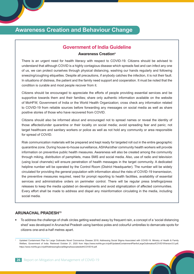### **Awareness Creation and Behaviour Change**

#### **Government of India Guideline**

#### **Awareness Creationx**

There is an urgent need for health literacy with respect to COVID-19. Citizens should be advised to understand that although COVID is a highly contagious disease which spreads fast and can infect any one of us, we can protect ourselves through physical distancing, washing our hands regularly and following sneezing/coughing etiquettes. Despite all precautions, if anybody catches the infection, it is not their fault. In situations of distress, the patient and the family need support and cooperation. It must be noted that the condition is curable and most people recover from it.

Citizens should be encouraged to appreciate the efforts of people providing essential services and be supportive towards them and their families; share only authentic information available on the website of MoHFW, Government of India or the World Health Organization; cross check any information related to COVID-19 from reliable sources before forwarding any messages on social media as well as share positive stories of those who have recovered from COVID.

Citizens should also be informed about and encouraged not to spread names or reveal the identity of those affected/under quarantine or their locality on social media; avoid spreading fear and panic; not target healthcare and sanitary workers or police as well as not hold any community or area responsible for spread of COVID.

Risk communication materials will be prepared and kept ready for targeted roll out in the entire geographic quarantine zone. During house-to-house surveillance, ASHAs/other community health workers will provide information on preventive public health measures. Awareness will also be created among the community through miking, distribution of pamphlets, mass SMS and social media. Also, use of radio and television (using local channels) will ensure penetration of health messages in the target community. A dedicated helpline number will be operated by the Control Room (District Headquarter). The number will be widely circulated for providing the general population with information about the risks of COVID-19 transmission, the preventive measures required, need for prompt reporting to health facilities, availability of essential services and administrative orders on perimeter control. There will be regular press briefings/press releases to keep the media updated on developments and avoid stigmatization of affected communities. Every effort shall be made to address and dispel any misinformation circulating in the media, including social media.

#### **ARUNACHAL PRADESH13**

 To address the challenge of chalk circles getting washed away by frequent rain, a concept of a 'social distancing shed' was developed in Arunachal Pradesh using bamboo poles and colourful umbrellas to demarcate spots for citizens one-and-a-half metres apart.

Updated Containment Plan for Large Outbreaks Novel Coronavirus Disease 2019; Addressing Social Stigma Associated with COVID-19. Ministry of Health & Family Welfare, Government of India. Retrieved October 21, 2020 from https://www.mohfw.gov.in/pdf/UpdatedContainmentPlanforLargeOutbreaksofCOVID19Version3.0.pdf; https://www.mohfw.gov.in/pdf/AddressingSocialStigmaAssociatedwithCOVID19.pdf.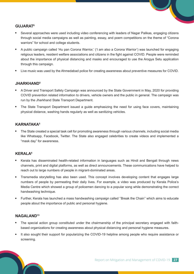#### **GUJARAT8**

- Several approaches were used including video conferencing with leaders of Nagar Palikas, engaging citizens through social media campaigns as well as painting, essay, and poem competitions on the theme of "Corona warriors" for school and college students.
- A public campaign called 'Hu pan Corona Warrior,' ('I am also a Corona Warrior') was launched for engaging religious leaders, resident welfare associations and citizens in the fight against COVID. People were reminded about the importance of physical distancing and masks and encouraged to use the Arogya Setu application through this campaign.
- Live music was used by the Ahmedabad police for creating awareness about preventive measures for COVID.

#### **JHARKHAND5**

- A Driver and Transport Safety Campaign was announced by the State Government in May, 2020 for providing COVID prevention related information to drivers, vehicle owners and the public in general. The campaign was run by the Jharkhand State Transport Department.
- The State Transport Department issued a guide emphasizing the need for using face covers, maintaining physical distance, washing hands regularly as well as sanitizing vehicles.

#### **KARNATAKA5**

 The State created a special task cell for promoting awareness through various channels, including social media like Whatsapp, Facebook, Twitter. The State also engaged celebrities to create videos and implemented a "mask day" for awareness.

#### **KERALA<sup>6</sup>**

- Kerala has disseminated health-related information in languages such as Hindi and Bengali through news channels, print and digital platforms, as well as direct announcements. These communications have helped to reach out to large numbers of people in migrant-dominated areas.
- Transmedia storytelling has also been used. This concept involves developing content that engages large numbers of people by permeating their daily lives. For example, a video was produced by Kerala Police's Media Centre which showed a group of policemen dancing to a popular song while demonstrating the correct handwashing technique.
- Further, Kerala has launched a mass handwashing campaign called ''Break the Chain'' which aims to educate people about the importance of public and personal hygiene.

#### **NAGALAND13**

- The special action group constituted under the chairmanship of the principal secretary engaged with faithbased organizations for creating awareness about physical distancing and personal hygiene measures.
- It also sought their support for popularizing the COVID-19 helpline among people who require assistance or screening.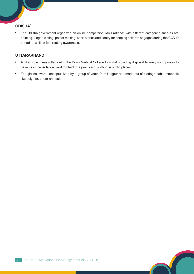#### **ODISHA5**

 The Odisha government organized an online competition 'Mo Pratibha', with different categories such as art, painting, slogan writing, poster making, short stories and poetry for keeping children engaged during the COVID period as well as for creating awareness.

#### **UTTARAKHAND**

- A pilot project was rolled out in the Doon Medical College Hospital providing disposable 'easy spit' glasses to patients in the isolation ward to check the practice of spitting in public places.
- The glasses were conceptualized by a group of youth from Nagpur and made out of biodegradable materials like polymer, paper and pulp.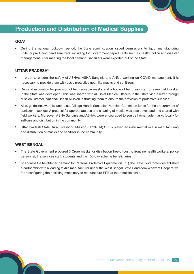## **Production and Distribution of Medical Supplies**

#### **GOA5**

 During the national lockdown period, the State administration issued permissions to liquor manufacturing units for producing hand sanitizers, including for Government departments such as health, police and disaster management. After meeting the local demand, sanitizers were exported out of the State.

#### **UTTAR PRADESH6**

- In order to ensure the safety of ASHAs, ASHA Sanginis and ANMs working on COVID management, it is necessary to provide them with basic protective gear like masks and sanitizers.
- Demand estimation for provision of two reusable masks and a bottle of hand sanitizer for every field worker in the State was developed. This was shared with all Chief Medical Officers in the State vide a letter through Mission Director, National Health Mission instructing them to ensure the provision of protective supplies.
- Also, guidelines were issued to use Village Health Sanitation Nutrition Committee funds for the procurement of sanitizer, mask etc. A protocol for appropriate use and cleaning of masks was also developed and shared with field workers. Moreover, ASHA Sanginis and ASHAs were encouraged to source homemade masks locally for self-use and distribution in the community.
- Uttar Pradesh State Rural Livelihood Mission (UPSRLM) SHGs played an instrumental role in manufacturing and distribution of masks and sanitizer in the community.

#### **WEST BENGAL4**

- The State Government procured 3 Crore masks for distribution free-of-cost to frontline health workers, police personnel, fire services staff, students and the 100-day scheme beneficiaries.
- To address the heightened demand for Personal Protective Equipment (PPE), the State Government established a partnership with a leading textile manufacturer under the West Bengal State Handloom Weavers Cooperative for reconfiguring their existing machinery to manufacture PPE at the requisite scale.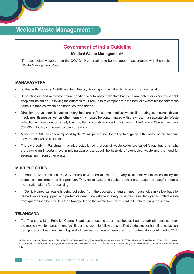## **Medical Waste Management<sup>14</sup>**

#### **Government of India Guideline**

#### **Medical Waste Managementxi**

The biomedical waste during the COVID-19 outbreak is to be managed in accordance with Biomedical Waste Management Rules.

#### **MAHARASHTRA**

- To deal with the rising COVID waste in the city, Panchgani has taken to decentralized segregation.
- Separating dry and wet waste before handing over to waste collectors has been mandated for every household, shop and institution. Following the outbreak of COVID, a third component in the form of a waste bin for hazardous items like medical waste and batteries, was added.
- Directions have been issued to every household for storing medical waste like syringes, masks, gloves, medicines, tissues as well as other items which could be contaminated with the virus, in a separate bin. Waste collection is carried out on a daily basis by the civic body and sent to a Common Bio-Medical Waste Treatment (CBMWT) facility in the nearby town of Satara.
- A fine of Rs. 500 has been imposed by the Municipal Council for failing to segregate the waste before handing it over to the waste collector.
- The civic body in Panchgani has also established a group of waste collectors called 'swachhagrahis' who are playing an important role in raising awareness about the hazards of biomedical waste and the need for segregating it from other waste.

#### **MULTIPLE CITIES**

- In Bhopal, five dedicated DTDC vehicles have been allocated in every cluster for waste collection by the biomedical incinerator service provider. They collect waste in sealed dechlorinate bags and transfer them to incineration plants for processing.
- In Delhi, biomedical waste is being collected from the doorstep of quarantined households in yellow bags by trained workers equipped with protective gear. One vehicle in every zone has been deployed to collect waste from quarantined homes. It is then transported to the waste-to-energy plant in Okhla for proper disposal.

#### **TELANGANA**

 The Telangana State Pollution Control Board has requested urban local bodies, health establishments, common bio-medical waste management facilities and citizens to follow the specified guidelines for handling, collection, transportation, treatment and disposal of bio-medical waste generated from potential or confirmed COVID

Guidelines for Handling, Treatment and Disposal of Waste Generated During Treatment/Diagnosis/ Quarantine of COVID-19 Patients. Central Pollution Control Board, Ministry of Environment, Forest & Climate Change, Government of India. Retrieved October 21, 2020 from https://www.mohfw.gov.in/pdf/63948609501585568987wastesguidelines. pdf.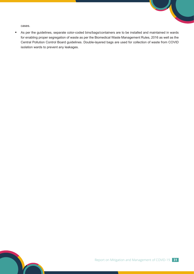cases.

 As per the guidelines, separate color-coded bins/bags/containers are to be installed and maintained in wards for enabling proper segregation of waste as per the Biomedical Waste Management Rules, 2016 as well as the Central Pollution Control Board guidelines. Double-layered bags are used for collection of waste from COVID isolation wards to prevent any leakages.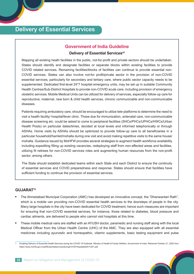## **Delivery of Essential Services**

#### **Government of India Guideline**

#### **Delivery of Essential Services<sup>xii</sup>**

Mapping all existing heath facilities in the public, not-for-profit and private sectors should be undertaken. States should identify and designate facilities or separate blocks within existing facilities to provide COVID related services. Remaining facilities/blocks of facilities can continue to provide essential non-COVID services. States can also involve not-for profit/private sector in the provision of non-COVID essential services, particularly for secondary and tertiary care, where public sector capacity needs to be supplemented. Dedicated first-level 24\*7 hospital emergency units, may be set up in suitable Community Health Centres/Sub-District Hospitals to provide non-COVID acute care, including provision of emergency obstetric services. Mobile Medical Units can be utilized for delivery of services, especially follow-up care for reproductive, maternal, new born & child health services, chronic communicable and non-communicable diseases.

Patients requiring ambulatory care, should be encouraged to utilize tele-platforms to determine the need to visit a health facility/ hospital/fever clinic. Those due for immunization, antenatal care, non-communicable disease screening etc. could be asked to come to peripheral facilities (SHCs/PHCs/UPHCs/HWCs/Urban Health Posts) on particular dates/times, decided at local levels and informed telephonically or through ASHAs. Home visits by ASHAs should be optimized to provide follow-up care to all beneficiaries in a particular household/hamlet/mohalla during one visit and avoid making repetitive visits to the same house/ mohalla. Guidance issued by MoHFW provides several strategies to augment health workforce availability including expediting filling up existing vacancies, redeploying staff from non-affected areas and facilities, utilizing fit retirees for non-COVID services roles and augmenting human resources from the non-profit sector, among others.

The State should establish dedicated teams within each State and each District to ensure the continuity of essential services and COVID preparedness and response. States should ensure that facilities have sufficient funding to continue the provision of essential services.

#### **GUJARAT15**

- The Ahmedabad Municipal Corporation (AMC) has developed an innovative concept, the "Dhanwantari Rath", which is a mobile van providing non-COVID essential health services to the doorsteps of people in the city. Many large hospitals in the city have been dedicated for COVID treatment, hence such measures are important for ensuring that non-COVID essential services, for instance, those related to diabetes, blood pressure and cardiac ailments, are delivered to people who cannot visit hospitals at this time.
- These mobile medical vans are staffed with an AYUSH doctor, paramedic and nursing staff along with the local Medical Officer from the Urban Health Centre (UHC) of the AMC. They are also equipped with all essential medicines including ayurvedic and homeopathic, vitamin supplements, basic testing equipment and pulse

Enabling Delivery of Essential Health Services during the COVID 19 Outbreak. Ministry of Health & Family Welfare, Government of India. Retrieved October 21, 2020 from https://www.mohfw.gov.in/pdf/EssentialservicesduringCOVID19updated0411201.pdf.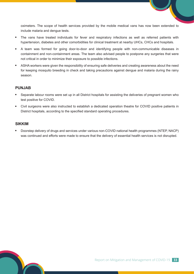oximeters. The scope of health services provided by the mobile medical vans has now been extended to include malaria and dengue tests.

- The vans have treated individuals for fever and respiratory infections as well as referred patients with hypertension, diabetes and other comorbidities for clinical treatment at nearby UHCs, CHCs and hospitals.
- A team was formed for going door-to-door and identifying people with non-communicable diseases in containment and non-containment areas. The team also advised people to postpone any surgeries that were not critical in order to minimize their exposure to possible infections.
- ASHA workers were given the responsibility of ensuring safe deliveries and creating awareness about the need for keeping mosquito breeding in check and taking precautions against dengue and malaria during the rainy season.

#### **PUNJAB**

- Separate labour rooms were set up in all District hospitals for assisting the deliveries of pregnant women who test positive for COVID.
- Civil surgeons were also instructed to establish a dedicated operation theatre for COVID positive patients in District hospitals, according to the specified standard operating procedures.

#### **SIKKIM**

 Doorstep delivery of drugs and services under various non-COVID national health programmes (NTEP, NACP) was continued and efforts were made to ensure that the delivery of essential health services is not disrupted.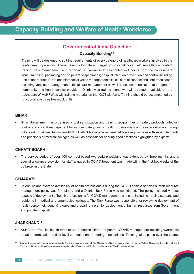## **Capacity Building and Welfare of Health Workforce**

#### **Government of India Guideline**

#### **Capacity Building**xiii

Training will be designed to suit the requirements of every category of healthcare workers involved in the containment operations. These trainings for different target groups shall cover field surveillance, contact tracing, data management and reporting; surveillance at designated exit points from the containment zone; sampling, packaging and shipment of specimens; hospital infection prevention and control including use of appropriate PPEs and biomedical waste management; clinical care of suspect and confirmed cases including ventilator management, critical care management as well as risk communication to the general community and health service providers. District-wise trained manpower will be made available on the dashboard of MoHFW as will training material on the IGOT platform. Training should be accompanied by functional exercises like mock drills.

#### **BIHAR**

 Bihar Government has organised virtual sensitization and training programmes on safety protocols, infection control and clinical management for various categories of health professionals and sanitary workers through collaboration with institutions like AIIMS, Delhi. Meetings have been held on a regular basis with superintendents and principals of medical colleges as well as hospitals for sharing good practices highlighted by experts.

#### **CHHATTISGARH**

 The service period of over 400 contract-based Ayurveda physicians was extended by three months and a special allowance provision for staff engaged in COVID treatment was made within the first two weeks of the outbreak in the State.

#### **GUJARAT8**

 To ensure and oversee availability of health professionals during the COVID crisis a specific human resource management policy was formulated and a District Task Force was constituted. The policy included various aspects of deployment of health professionals for COVID management and care including nursing students and residents in medical and paramedical colleges. The Task Force was responsible for reviewing deployment of health personnel, identifying gaps and preparing a plan for deployment of human resources from Government and private hospitals.

#### **JHARKHAND16**

 ASHAs and frontline health workers are trained on different aspects of COVID management including awareness creation, formulation of field-level strategies and reporting mechanisms. Training takes place over the course

Updated Containment Plan for Large Outbreaks Novel Coronavirus Disease 2019: Capacity Building. Ministry of Health & Family Welfare, Government of India. Retrieved October 21, 2020 from https://www.mohfw.gov.in/pdf/UpdatedContainmentPlanforLargeOutbreaksofCOVID19Version3.0.pdf.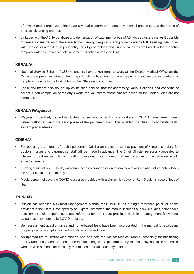of a week and is organized either over a virtual platform or in-person with small groups so that the norms of physical distancing are met.

 Linkages with the ASHA database and demarcation of catchment areas of ASHAs as clusters makes it possible to create a visualization of the surveillance planning. Regular sharing of field data by ASHAs using their codes with geospatial attributes helps identify target geographies and priority zones as well as develop a spatiotemporal database of individuals in home quarantine across the State.

#### **KERALA6**

- National Service Scheme (NSS) volunteers have taken turns to work at the District Medical Office on the Collectorate premises. One of their major functions has been to trace the primary and secondary contacts of people who came to the District from other States and countries.
- These volunteers also double up as helpline service staff for addressing various queries and concerns of callers. Upon completion of the day's work, the volunteers attend classes online so that their studies are not disrupted.

#### **KERALA (Wayanad)**

 Wayanad proactively trained its doctors, nurses and other frontline workers in COVID management using virtual platforms during the early phase of the pandemic itself. This enabled the District to boost its health system preparedness.

#### **ODISHA5**

- For boosting the morale of health personnel, Odisha announced that that payment of 4 months' salary for doctors, nurses and paramedical staff will be made in advance. The Chief Minister personally appealed to citizens to deal respectfully with health professionals and warned that any instances of misbehaviour would attract a penalty.
- Further, a sum of Rs. 50 Lakh, was announced as compensation for any health worker who unfortunately loses his or her life in the line of duty.
- Media personnel covering COVID were also provided with a similar risk cover of Rs. 15 Lakh in case of loss of life.

#### **PUNJAB**

- Punjab has released a Clinical Management Manual for COVID-19 as a single reference point for health providers in the State. Developed by an Expert Committee, the manual includes audio-visual aids, color coded assessment tools, experience-based referral criteria and best practices in clinical management for various categories of symptomatic COVID patients.
- Self-assessment questionnaires and home-based tests have been incorporated in the manual for evaluating the progress of asymptomatic individuals in home isolation.
- An updated list of District-wise experts who can help the District Medical Teams, especially for minimizing fatality rates, has been included in the manual along with a platform of psychiatrists, psychologists and social workers who can help address any mental health issues faced by patients.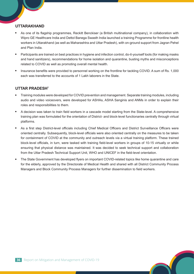#### **UTTARAKHAND**

- As one of its flagship programmes, Reckitt Benckiser (a British multinational company), in collaboration with Wipro GE Healthcare India and Dettol Banega Swasth India launched a training Programme for frontline health workers in Uttarakhand (as well as Maharashtra and Uttar Pradesh), with on-ground support from Jagran Pehel and Plan India.
- Participants are trained on best practices in hygiene and infection control, do-it-yourself tools (for making masks and hand sanitizers), recommendations for home isolation and quarantine, busting myths and misconceptions related to COVID as well as promoting overall mental health.
- Insurance benefits were provided to personnel working on the frontline for tackling COVID. A sum of Rs. 1,000 each was transferred to the accounts of 1 Lakh laborers in the State.

#### **UTTAR PRADESH7**

- Training modules were developed for COVID prevention and management. Separate training modules, including audio and video voiceovers, were developed for ASHAs, ASHA Sanginis and ANMs in order to explain their roles and responsibilities to them.
- A decision was taken to train field workers in a cascade model starting from the State-level. A comprehensive training plan was formulated for the orientation of District- and block-level functionaries centrally through virtual platforms.
- As a first step District-level officials including Chief Medical Officers and District Surveillance Officers were oriented centrally. Subsequently, block-level officials were also oriented centrally on the measures to be taken for containment of COVID at the community and outreach levels via a virtual training platform. These trained block-level officials, in turn, were tasked with training field-level workers in groups of 10-15 virtually or while ensuring that physical distance was maintained. It was decided to seek technical support and collaboration from the Uttar Pradesh Technical Support Unit, WHO and UNICEF in the field-level orientation.
- The State Government has developed flyers on important COVID-related topics like home quarantine and care for the elderly, approved by the Directorate of Medical Health and shared with all District Community Process Managers and Block Community Process Managers for further dissemination to field workers.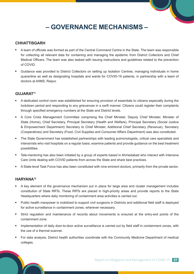## **– GOVERNANCE MECHANISMS –**

#### **CHHATTISGARH**

- A team of officials was formed as part of the Central Command Centre in the State. The team was responsible for collecting all relevant data for containing and managing the epidemic from District Collectors and Chief Medical Officers. The team was also tasked with issuing instructions and guidelines related to the prevention of COVID.
- Guidance was provided to District Collectors on setting up Isolation Centres, managing individuals in home quarantine as well as designating hospitals and wards for COVID-19 patients, in partnership with a team of doctors at AIIMS, Raipur.

#### **GUJARAT11**

- A dedicated control room was established for ensuring provision of essentials to citizens especially during the lockdown period and responding to any grievances in a swift manner. Citizens could register their complaints through specified emergency numbers at the State and District levels.
- A Core Crisis Management Committee comprising the Chief Minister, Deputy Chief Minister, Minister of State (Home), Chief Secretary, Principal Secretary (Health and Welfare), Principal Secretary (Social Justice & Empowerment Department) Secretary to Chief Minister, Additional Chief Secretary (Revenue), Secretary (Cooperatives) and Secretary (Food, Civil Supplies and Consumer Affairs Department) was also constituted.
- The State Government has established partnerships with leading pulmonologists, critical care specialists and intensivists who visit hospitals on a regular basis, examine patients and provide guidance on the best treatment possibilities.
- Tele-mentoring has also been initiated by a group of experts based in Ahmedabad who interact with Intensive Care Units dealing with COVID patients from across the State and share best practices.
- A State-level Task Force has also been constituted with nine eminent doctors, primarily from the private sector.

#### **HARYANA12**

- A key element of the governance mechanism put in place for large area and cluster management includes constitution of State RRTs. These RRTs are placed in high-priority areas and provide reports to the State Headquarters where daily monitoring of containment area activities is carried out.
- Public health manpower is mobilized to support civil surgeons in Districts and additional field staff is deployed for active surveillance in containment zones, wherever necessary.
- Strict regulation and maintenance of records about movements is ensured at the entry-exit points of the containment zone.
- Implementation of daily door-to-door active surveillance is carried out by field staff in containment zones, with the use of a thermal scanner.
- For data analysis, District health authorities coordinate with the Community Medicine Department of medical colleges.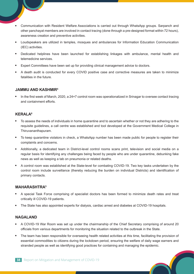- Communication with Resident Welfare Associations is carried out through WhatsApp groups. Sarpanch and other panchayat members are involved in contact tracing (done through a pre-designed format within 72 hours), awareness creation and preventive activities.
- Loudspeakers are utilized in temples, mosques and ambulances for Information Education Communication (IEC) activities.
- Dedicated helplines have been launched for establishing linkages with ambulance, mental health and telemedicine services.
- Expert Committees have been set up for providing clinical management advice to doctors.
- A death audit is conducted for every COVID positive case and corrective measures are taken to minimize fatalities in the future.

#### **JAMMU AND KASHMIR4**

 In the first week of March, 2020, a 24×7 control room was operationalized in Srinagar to oversee contact tracing and containment efforts.

#### **KERALA<sup>6</sup>**

- To assess the needs of individuals in home quarantine and to ascertain whether or not they are adhering to the requisite guidelines, a call centre was established and tool developed at the Government Medical College in Thiruvananthapuram.
- To keep quarantine violators in check, a WhatsApp number has been made public for people to register their complaints and concerns.
- Additionally, a dedicated team in District-level control rooms scans print, television and social media on a regular basis for identifying any challenges being faced by people who are under quarantine, debunking fake news as well as keeping a tab on pneumonia or related deaths.
- A control room was established at the State-level for combating COVID-19. Two key tasks undertaken by the control room include surveillance (thereby reducing the burden on individual Districts) and identification of primary contacts.

#### **MAHARASHTRA5**

- A special Task Force comprising of specialist doctors has been formed to minimize death rates and treat critically ill COVID-19 patients.
- The State has also appointed experts for dialysis, cardiac arrest and diabetes at COVID-19 hospitals.

#### **NAGALAND**

- A COVID-19 War Room was set up under the chairmanship of the Chief Secretary comprising of around 20 officials from various departments for monitoring the situation related to the outbreak in the State.
- The team has been responsible for overseeing health related activities at this time, facilitating the provision of essential commodities to citizens during the lockdown period, ensuring the welfare of daily wage earners and stranded people as well as identifying good practices for containing and managing the epidemic.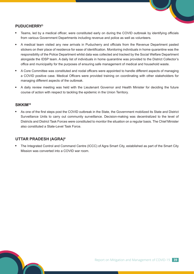#### **PUDUCHERRY3**

- Teams, led by a medical officer, were constituted early on during the COVID outbreak by identifying officials from various Government Departments including revenue and police as well as volunteers.
- A medical team visited any new arrivals in Puducherry and officials from the Revenue Department pasted stickers on their place of residence for ease of identification. Monitoring individuals in home quarantine was the responsibility of the Police Department whilst data was collected and tracked by the Social Welfare Department alongside the IDSP team. A daily list of individuals in home quarantine was provided to the District Collector's office and municipality for the purposes of ensuring safe management of medical and household waste.
- A Core Committee was constituted and nodal officers were appointed to handle different aspects of managing a COVID positive case. Medical Officers were provided training on coordinating with other stakeholders for managing different aspects of the outbreak.
- A daily review meeting was held with the Lieutenant Governor and Health Minister for deciding the future course of action with respect to tackling the epidemic in the Union Territory.

#### **SIKKIM10**

 As one of the first steps post the COVID outbreak in the State, the Government mobilized its State and District Surveillance Units to carry out community surveillance. Decision-making was decentralized to the level of Districts and District Task Forces were constituted to monitor the situation on a regular basis. The Chief Minister also constituted a State-Level Task Force.

#### **UTTAR PRADESH (AGRA)6**

 The Integrated Control and Command Centre (ICCC) of Agra Smart City, established as part of the Smart City Mission was converted into a COVID war room.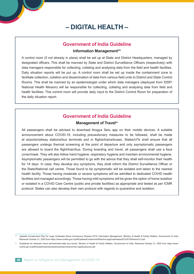## **– DIGITAL HEALTH –**

#### **Government of India Guideline**

#### **Information Managementxiv**

A control room (if not already in place) shall be set up at State and District Headquarters, managed by designated officers. This shall be manned by State and District Surveillance Officers (respectively) with data managers responsible for collecting, collating and analysing data from the field and health facilities. Daily situation reports will be put up. A control room shall be set up inside the containment zone to facilitate collection, collation and dissemination of data from various field units to District and State Control Rooms. This shall be manned by an epidemiologist under which data managers (deployed from IDSP/ National Health Mission) will be responsible for collecting, collating and analysing data from field and health facilities. This control room will provide daily input to the District Control Room for preparation of the daily situation report.

#### **Government of India Guideline**

#### **Management of Travelxv**

All passengers shall be advised to download Arogya Setu app on their mobile devices. A suitable announcement about COVID-19, including precautionary measures to be followed, shall be made at airports/railway stations/bus terminals and in flights/trains/buses. States/UTs shall ensure that all passengers undergo thermal screening at the point of departure and only asymptomatic passengers are allowed to board the flight/train/bus. During boarding and travel, all passengers shall use a face cover/mask. They will also follow hand hygiene, respiratory hygiene and maintain environmental hygiene. Asymptomatic passengers will be permitted to go with the advice that they shall self-monitor their health for 14 days. In case, they develop any symptoms, they shall inform the District Surveillance Officer or the State/National call centre. Those found to be symptomatic will be isolated and taken to the nearest health facility. Those having moderate or severe symptoms will be admitted to dedicated COVID health facilities and managed accordingly. Those having mild symptoms will be given the option of home isolation or isolated in a COVID Care Centre (public and private facilities) as appropriate and tested as per ICMR protocol. States can also develop their own protocol with regards to quarantine and isolation.

Updated Containment Plan for Large Outbreaks Novel Coronavirus Disease 2019: Information Management. Ministry of Health & Family Welfare, Government of India. Retrieved October 21, 2020 from https://www.mohfw.gov.in/pdf/UpdatedContainmentPlanforLargeOutbreaksofCOVID19Version3.0.pdf.

xv Guidelines for domestic travel (air/train/inter-state bus travel). Ministry of Health & Family Welfare, Government of India. Retrieved October 21, 2020 from https://www. mohfw.gov.in/pdf/Guidelinesfordomestictravel(airortrainorinter-statebustravel).pdf.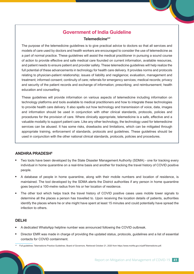### **Government of India Guideline**

#### **Telemedicinexvi**

The purpose of the telemedicine guidelines is to give practical advice to doctors so that all services and models of care used by doctors and health workers are encouraged to consider the use of telemedicine as a part of normal practice. These guidelines will assist the medical practitioner in pursuing a sound course of action to provide effective and safe medical care founded on current information, available resources, and patient needs to ensure patient and provider safety. These telemedicine guidelines will help realize the full potential of these advancements in technology for health care delivery. It provides norms and protocols relating to physician-patient relationship; issues of liability and negligence; evaluation, management and treatment; informed consent; continuity of care; referrals for emergency services; medical records; privacy and security of the patient records and exchange of information; prescribing; and reimbursement; health education and counselling.

These guidelines will provide information on various aspects of telemedicine including information on technology platforms and tools available to medical practitioners and how to integrate these technologies to provide health care delivery. It also spells out how technology and transmission of voice, data, images and information should be used in conjunction with other clinical standards, protocols, policies and procedures for the provision of care. Where clinically appropriate, telemedicine is a safe, effective and a valuable modality to support patient care. Like any other technology, the technology used for telemedicine services can be abused. It has some risks, drawbacks and limitations, which can be mitigated through appropriate training, enforcement of standards, protocols and guidelines. These guidelines should be used in conjunction with the other national clinical standards, protocols, policies and procedures.

#### **ANDHRA PRADESH6**

- Two tools have been developed by the State Disaster Management Authority (SDMA) one for tracking every individual in home quarantine on a real-time basis and another for tracking the travel history of COVID positive people.
- A database of people in home quarantine, along with their mobile numbers and location of residence, is maintained. The tool developed by the SDMA alerts the District authorities if any person in home quarantine goes beyond a 100-metre radius from his or her location of residence.
- The other tool which helps track the travel history of COVID positive cases uses mobile tower signals to determine all the places a person has travelled to. Upon receiving the location details of patients, authorities identify the places where he or she might have spent at least 15 minutes and could potentially have spread the infection to others.

#### **DELHI**

- A dedicated WhatsApp helpline number was announced following the COVID outbreak.
- Director EMR was made in charge of providing the updated status, protocols, guidelines and a list of essential contacts for COVID containment.
- Full guidelines: Telemedicine Practice Guidelines. Board of Governors. Retrieved October 21, 2020 from https://www.mohfw.gov.in/pdf/Telemedicine.pdf.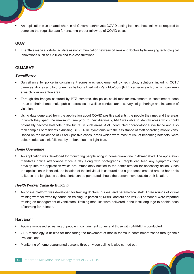An application was created wherein all Government/private COVID testing labs and hospitals were required to complete the requisite data for ensuring proper follow-up of COVID cases.

#### **GOA5**

 The State made efforts to facilitate easy communication between citizens and doctors by leveraging technological innovations such as CallDoc and tele-consultations.

#### **GUJARAT8**

#### *Surveillance*

- Surveillance by police in containment zones was supplemented by technology solutions including CCTV cameras, drones and hydrogen gas balloons fitted with Pan-Tilt-Zoom (PTZ) cameras each of which can keep a watch over an entire area.
- Through the images captured by PTZ cameras, the police could monitor movements in containment zone areas on their phone, make public addresses as well as conduct aerial surveys of gatherings and instances of violation.
- Using data generated from the application about COVID positive patients, the people they met and the areas in which they spent the maximum time prior to their diagnosis, AMC was able to identify areas which could potentially become hotspots in the future. In such areas, AMC conducted door-to-door surveillance and also took samples of residents exhibiting COVID-like symptoms with the assistance of staff operating mobile vans. Based on the incidence of COVID positive cases, areas which were most at risk of becoming hotspots, were colour coded as pink followed by amber, blue and light blue.

#### *Home Quarantine*

 An application was developed for monitoring people living in home quarantine in Ahmedabad. The application mandates online attendance thrice a day along with photographs. People can feed any symptoms they develop into the application which are immediately notified to the administration for necessary action. Once the application is installed, the location of the individual is captured and a geo-fence created around her or his latitudes and longitudes so that alerts can be generated should the person move outside their location.

#### *Health Worker Capacity Building*

 An online platform was developed for training doctors, nurses, and paramedical staff. Three rounds of virtual training were followed by hands-on training. In particular, MBBS doctors and AYUSH personnel were imparted training on management of ventilators. Training modules were delivered in the local language to enable ease of learning for trainees.

#### **Haryana12**

- Application-based screening of people in containment zones and those with SARI/ILI is conducted.
- GPS technology is utilized for monitoring the movement of mobile teams in containment zones through their live locations.
- Monitoring of home quarantined persons through video calling is also carried out.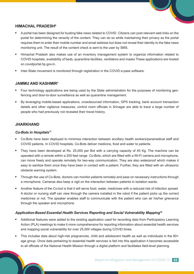#### **HIMACHAL PRADESH6**

- A portal has been designed for busting fake news related to COVID. Citizens can post relevant web links on the portal for determining the veracity of the content. They can do so while maintaining their privacy as the portal requires them to enter their mobile number and email address but does not reveal their identity to the fake news monitoring unit. The result of the content check is sent to the user by SMS.
- Himachal Pradesh also makes use of an inventory management system to organize information related to COVID hospitals, availability of beds, quarantine facilities, ventilators and masks These applications are hosted on covidportal.hp.gov.in.
- Inter-State movement is monitored through registration in the COVID e-pass software.

#### **JAMMU AND KASHMIR4**

- Four technology applications are being used by the State administration for the purposes of monitoring geofencing and door-to-door surveillance as well as quarantine management.
- By leveraging mobile-based applications, crowdsourced information, GPS tracking, bank account transaction details and other vigilance measures, control room officials in Srinagar are able to trace a large number of people who had previously not revealed their travel history.

#### **JHARKHAND**

#### *Co-Bots in Hospitals17*

- Co-Bots have been deployed to minimize interaction between ancillary health workers/paramedical staff and COVID patients. In COVID hospitals, Co-Bots deliver medicine, food and water to patients.
- They have been developed at Rs. 25,000 per Bot with a carrying capacity of 45 Kg. The machine can be operated with a remote within a 200 feet range. Co-Bots, which are fitted with a Wi-Fi camera and microphone, can move freely and operate remotely for two-way communication. They are also waterproof which makes it easy to sanitize them once they have been in contact with a patient. Further, they are fitted with an ultrasonic obstacle warning system.
- Through the use of Co-Bots, doctors can monitor patients remotely and pass on necessary instructions through a microphone. Cameras also keep a vigil on the interaction between patients in isolation wards.
- Another feature of the Co-bot is that it will serve food, water, medicines with a reduced risk of infection spread. A doctor or nursing staff can view through the camera installed in the robot if the patient picks up the correct medicines or not. The speaker enables staff to communicate with the patient who can air his/her grievance through the speaker and microphone.

#### *Application-Based Essential Health Services Reporting and Social Vulnerability Mapping18*

- Additional features were added to the existing application used for recording data from Participatory Learning Action (PLA) meetings to make it more comprehensive for reporting information about essential health services and mapping social vulnerability for over 25,000 villages during COVID times.
- This includes data about high-risk pregnancies, child and adolescent health as well as individuals in the 60+ age group. Once data pertaining to essential health services is fed into this application it becomes accessible to all officials of the National Health Mission through a digital platform and facilitates field-level planning.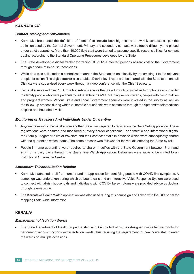#### **KARNATAKA5**

#### *Contact Tracing and Surveillance*

- Karnataka broadened the definition of 'contact' to include both high-risk and low-risk contacts as per the definition used by the Central Government. Primary and secondary contacts were traced diligently and placed under strict quarantine. More than 10,000 field staff were trained to assume specific responsibilities for contact tracing according to the Standard Operating Procedures developed by the State.
- The State developed a digital tracker for tracing COVID-19 infected persons at zero cost to the Government through a team of in-house technicians.
- While data was collected in a centralized manner, the State acted on it locally by transmitting it to the relevant people for action. The digital tracker also enabled District-level reports to be shared with the State team and all Districts were supervised every week through a video conference with the Chief Secretary.
- Karnataka surveyed over 1.5 Crore households across the State through physical visits or phone calls in order to identify people who were particularly vulnerable to COVID including senior citizens, people with comorbidities and pregnant women. Various State and Local Government agencies were involved in the survey as well as the follow-up process during which vulnerable households were contacted through the Apthamitra telemedicine helpline and household visits.

#### *Monitoring of Travellers And Individuals Under Quarantine*

- Anyone travelling to Karnataka from another State was required to register on the Seva Setu application. These registrations were ensured and monitored at every border checkpoint. For domestic and international flights, the State put together a list of travelers and their contact details in advance which were subsequently shared with the quarantine watch teams. The same process was followed for individuals entering the State by rail.
- People in home quarantine were required to share 14 selfies with the State Government between 7 am and 9 pm on a daily basis through the Quarantine Watch Application. Defaulters were liable to be shifted to an institutional Quarantine Centre.

#### *Apthamitra Teleconsultation Helpline*

- Karnataka launched a toll-free number and an application for identifying people with COVID-like symptoms. A campaign was undertaken during which outbound calls and an Interactive Voice Response System were used to connect with at-risk households and individuals with COVID-like symptoms were provided advice by doctors through telemedicine.
- The Karnataka Health Watch application was also used during this campaign and linked with the GIS portal for mapping State-wide information.

#### **KERALA6**

#### *Management of Isolation Wards*

 The State Department of Health, in partnership with Asimov Robotics, has designed cost-effective robots for performing various functions within isolation wards, thus reducing the requirement for healthcare staff to enter the wards on multiple occasions.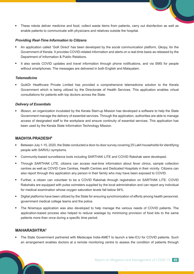These robots deliver medicine and food, collect waste items from patients, carry out disinfection as well as enable patients to communicate with physicians and relatives outside the hospital.

#### *Providing Real-Time Information to Citizens*

- An application called 'GoK Direct' has been developed by the social communication platform, Qkopy, for the Government of Kerala. It provides COVID-related information and alerts on a real-time basis as released by the Department of Information & Public Relations.
- It also sends COVID updates and travel information through phone notifications, and via SMS for people without smartphones. The messages are delivered in both English and Malayalam.

#### *Telemedicine*

 QuikDr Healthcare Private Limited has provided a comprehensive telemedicine solution to the Kerala Government which is being utilized by the Directorate of Health Services. This application enables virtual consultations for patients with top doctors across the State.

#### *Delivery of Essentials*

 iBoson, an organization incubated by the Kerala Start-up Mission has developed a software to help the State Government manage the delivery of essential services. Through the application, authorities are able to manage access of designated staff to the workplace and ensure continuity of essential services. This application has been used by the Kerala State Information Technology Mission.

#### **MADHYA PRADESH6**

- Between July 1-15, 2020, the State conducted a door-to-door survey covering 25 Lakh households for identifying people with SARI/ILI symptoms.
- Community-based surveillance tools including SARTHAK LITE and COVID Rakshak were developed.
- Through SARTHAK LITE, citizens can access real-time information about fever clinics, sample collection centres as well as COVID Care Centres, Health Centres and Dedicated Hospitals in their vicinity. Citizens can also report through this application any person in their family who may have been exposed to COVID.
- Further, a citizen can volunteer to be a COVID Rakshak through registration on SARTHAK LITE. COVID Rakshaks are equipped with pulse oximeters supplied by the local administration and can report any individual for medical examination whose oxygen saturation levels fall below 94%.
- Digital platforms have been utilized by the State for ensuring synchronization of efforts among health personnel, government medical college teams and the police.
- The Niramaya application was also developed to help manage the various needs of COVID patients. The application-based process also helped to reduce wastage by minimizing provision of food kits to the same patients more than once during a specific time period.

#### **MAHARASHTRA5**

 The State Government partnered with Medscape India-AMET to launch a tele-ICU for COVID patients. Such an arrangement enables doctors at a remote monitoring centre to assess the condition of patients through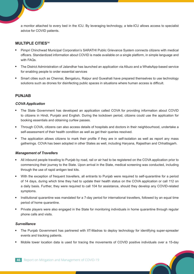a monitor attached to every bed in the ICU. By leveraging technology, a tele-ICU allows access to specialist advice for COVID patients.

#### **MULTIPLE CITIES14**

- Pimpri Chinchwad Municipal Corporation's SARATHI Public Grievance System connects citizens with medical officers. Standardized information about COVID is made available on a single platform, in simple language and with FAQs.
- The District Administration of Jalandhar has launched an application via Alluzo and a WhatsApp-based service for enabling people to order essential services
- Smart cities such as Chennai, Bengaluru, Raipur and Guwahati have prepared themselves to use technology solutions such as drones for disinfecting public spaces in situations where human access is difficult.

#### **PUNJAB**

#### *COVA Application*

- The State Government has developed an application called COVA for providing information about COVID to citizens in Hindi, Punjabi and English. During the lockdown period, citizens could use the application for booking essentials and obtaining curfew passes.
- Through COVA, citizens can also access details of hospitals and doctors in their neighbourhood, undertake a self-assessment of their health condition as well as get their queries resolved.
- The application allows citizens to mark their profile if they are in self-isolation as well as report any mass gatherings. COVA has been adopted in other States as well, including Haryana, Rajasthan and Chhattisgarh.

#### *Management of Travellers*

- All inbound people traveling to Punjab by road, rail or air had to be registered on the COVA application prior to commencing their journey to the State. Upon arrival in the State, medical screening was conducted, including through the use of rapid antigen test kits.
- With the exception of frequent travellers, all entrants to Punjab were required to self-quarantine for a period of 14 days, during which time they had to update their health status on the COVA application or call 112 on a daily basis. Further, they were required to call 104 for assistance, should they develop any COVID-related symptoms.
- Institutional quarantine was mandated for a 7-day period for international travellers, followed by an equal time period of home quarantine.
- Private players were also engaged in the State for monitoring individuals in home quarantine through regular phone calls and visits.

#### *Surveillance*

- The Punjab Government has partnered with IIT-Madras to deploy technology for identifying super-spreader events and tracking patients.
- Mobile tower location data is used for tracing the movements of COVID positive individuals over a 15-day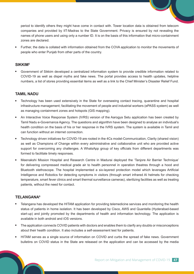period to identify others they might have come in contact with. Tower location data is obtained from telecom companies and provided by IIT-Madras to the State Government. Privacy is ensured by not revealing the names of phone users and using only a number ID. It is on the basis of this information that micro-containment zones are declared.

 Further, the data is collated with information obtained from the COVA application to monitor the movements of people who enter Punjab from other parts of the country.

#### **SIKKIM5**

 Government of Sikkim developed a centralized information system to provide credible information related to COVID-19 as well as dispel myths and fake news. The portal provides access to health updates, helpline numbers, a list of stores providing essential items as well as a link to the Chief Minister's Disaster Relief Fund.

#### **TAMIL NADU**

- Technology has been used extensively in the State for overseeing contact tracing, quarantine and hospital infrastructure management; facilitating the movement of people and industrial workers (ePASS system) as well as managing containment zones and hotspots (GIS mapping).
- An Interactive Voice Response System (IVRS) version of the Aarogya Setu application has been created by Tamil Nadu e-Governance Agency. The questions and algorithm have been designed to analyse an individual's health condition on the basis of his or her response in the IVRS system. The system is available in Tamil and can function without an internet connection.
- Technology driven initiatives for COVID-19 are rooted in the 4Cs model-Communication, Clarity (shared vision) as well as Champions of Change within every administrative and collaborative unit who are provided active support for overcoming any challenges. A WhatsApp group of key officials from different departments was formed to facilitate timely responses.
- Meenakshi Mission Hospital and Research Centre in Madurai deployed the 'Tanjore Air Barrier Technique' for delivering compressed medical grade air to health personnel in operation theatres through a hood and Bluetooth stethoscope. The hospital implemented a six-layered protection model which leverages Artificial Intelligence and Robotics for detecting symptoms in visitors (through smart infrared AI helmets for checking temperature, smart fever clinics and smart thermal surveillance cameras), sterilizing facilities as well as treating patients, without the need for contact.

#### **TELANGANA6**

- Telangana has developed the HITAM application for providing telemedicine services and monitoring the health status of patients in home isolation. It has been developed by Cisco, AWS and Quantella (Hyderabad-based start-up) and jointly promoted by the departments of health and information technology. The application is available in both android and iOS versions.
- The application connects COVID patients with doctors and enables them to clarify any doubts or misconceptions about their health condition. It also includes a self-assessment test for patients.
- HITAM serves as a single source of information on COVID and curbs the spread of fake news. Government bulletins on COVID status in the State are released on the application and can be accessed by the media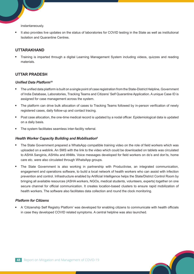instantaneously.

 It also provides live updates on the status of laboratories for COVID testing in the State as well as institutional Isolation and Quarantine Centres.

#### **UTTARAKHAND**

 Training is imparted through a digital Learning Management System including videos, quizzes and reading materials.

#### **UTTAR PRADESH**

#### *Unified Data Platform<sup>19</sup>*

- The unified data platform is built on a single point of case registration from the State-District Helpline, Government of India Database, Laboratories, Tracking Teams and Citizens' Self Quarantine Application. A unique Case ID is assigned for case management across the system.
- The platform can drive bulk allocation of cases to Tracking Teams followed by in-person verification of newly registered cases, daily follow-up and contact tracing.
- Post case allocation, the one-time medical record is updated by a nodal officer. Epidemiological data is updated on a daily basis.
- The system facilitates seamless inter-facility referral.

#### *Health Worker Capacity Building and Mobilisation6*

- The State Government prepared a WhatsApp compatible training video on the role of field workers which was uploaded on a weblink. An SMS with the link to the video which could be downloaded on tablets was circulated to ASHA Sanginis, ASHAs and ANMs. Voice messages developed for field workers on do's and don'ts, home care etc. were also circulated through WhatsApp groups.
- The State Government is also working in partnership with Productivise, an integrated communication, engagement and operations software, to build a local network of health workers who can assist with infection prevention and control. Infrastructure enabled by Artificial Intelligence helps the State/District Control Room by bringing all available resources (ASHA workers, NGOs, medical students, volunteers, experts) together on one secure channel for official communication. It creates location-based clusters to ensure rapid mobilization of health workers. The software also facilitates data collection and round the clock monitoring.

#### *Platform for Citizens*

 A 'Citizenship Self Registry Platform' was developed for enabling citizens to communicate with health officials in case they developed COVID related symptoms. A central helpline was also launched.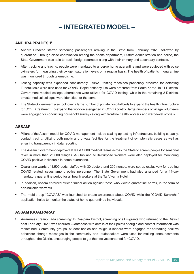## **– INTEGRATED MODEL –**

#### **ANDHRA PRADESH6**

- Andhra Pradesh started screening passengers arriving in the State from February, 2020, followed by quarantine. Through close coordination among the health department, District Administration and police, the State Government was able to track foreign returnees along with their primary and secondary contacts.
- After tracking and tracing, people were mandated to undergo home quarantine and were equipped with pulse oximeters for measuring their oxygen saturation levels on a regular basis. The health of patients in quarantine was monitored through telemedicine.
- Testing capacity was expanded considerably. TruNAT testing machines previously procured for detecting Tuberculosis were also used for COVID. Rapid antibody kits were procured from South Korea. In 11 Districts, Government medical college laboratories were utilized for COVID testing, while in the remaining 2 Districts, private medical colleges were identified for the same.
- The State Government also took over a large number of private hospital beds to expand the health infrastructure for COVID treatment. To expand the workforce engaged in COVID control, large numbers of village volunteers were engaged for conducting household surveys along with frontline health workers and ward-level officials.

#### **ASSAM1**

- Pillars of the Assam model for COVID management include scaling up testing infrastructure, building capacity, contact tracing, utilizing both public and private facilities for the treatment of symptomatic cases as well as ensuring transparency in data reporting.
- The Assam Government deployed at least 1,000 medical teams across the State to screen people for seasonal fever in more than 25,000 villages. ASHAs and Multi-Purpose Workers were also deployed for monitoring COVID positive individuals in home quarantine.
- Quarantine wards of 1,500 beds, staffed with 30 doctors and 200 nurses, were set up exclusively for treating COVID related issues among police personnel. The State Government had also arranged for a 14-day mandatory quarantine period for all health workers at the Taj Vivanta Hotel.
- In addition, Assam enforced strict criminal action against those who violate quarantine norms, in the form of non-bailable warrants.
- The mobile app "COVAAS" was launched to create awareness about COVID while the "COVID Suraksha" application helps to monitor the status of home quarantined individuals.

#### **ASSAM (GOALPARA)1**

 *Awareness creation and screening:* In Goalpara District, screening of all migrants who returned to the District post February, 2020, was ensured. A database with details of their points of origin and contact information was maintained. Community groups, student bodies and religious leaders were engaged for spreading positive behaviour change messages in the community and loudspeakers were used for making announcements throughout the District encouraging people to get themselves screened for COVID.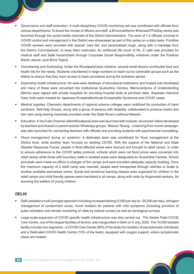- *Governance and staff motivation:* A multi-disciplinary COVID monitoring cell was constituted with officials from various departments. To boost the morale of officers and staff, a #CoronaWarrior #HeroesOfTheDay series was launched through the social media channels of the District Administration. The work of 1-2 officials involved in COVID control and management in the District was showcased as part of this series on a daily basis. Frontline COVID workers were provided with special 'care kits' and personalized mugs, along with a message from the District Commissioner, to keep them motivated. An additional life cover of Rs. 2 Lakh was provided for medical staff and Safai Karamcharis through Corporate Social Responsibility initiatives under the Pradhan Mantri Jeevan Jyoti Bima Yojana.
- *Volunteering and fundraising:* Under the #GoalparaCares initiative, several small donors contributed food and health kits for the needy. Students volunteered in large numbers to reach out to vulnerable groups such as the elderly to ensure that they have access to basic provisions during the lockdown period.
- *Expanding health infrastructure:* An area-wise database of educational institutions and hostels was developed and many of these were converted into institutional Quarantine Centres. Memorandums of Understanding (MoUs) were signed with private hospitals for providing hospital beds at pre-fixed rates. Separate Intensive Care Units were created for Japanese Encephalitis/Acute Encephalitis Syndrome and COVID cases.
- *Medical supplies:* Chemistry departments of regional science colleges were mobilized for production of hand sanitizers. Self-Help Groups, along with a group of persons with disability, collaborated to produce masks and hair nets using sewing machines provided under the State Rural Livelihood Mission.
- *Education:* A YouTube Channel called #GoalparaCares was launched with modular, structured videos developed by teachers and shared on parent-teacher WhatsApp groups. 'Mission Tarang' - a learning-from-home campaign, was also launched for connecting teachers with officials and providing students with psychosocial counselling.
- *Flood management during an epidemic:* A dedicated team was constituted for flood management at the District level, while another team focused on tackling COVID. With the support of the National and State Disaster Response Forces, people in flood affected areas were rescued and brought to relief camps. In order to ensure adherence to the COVID safety protocol, schools which were not flood prone were converted into relief camps while those with boundary walls in isolated areas were designated as Quarantine Centres. School principals were made ex-officio in-charges of the camps and were provided adequate capacity building. Once the maximum capacity of a relief camp was reached, people were transported through vehicles or boats to another available earmarked centre. Social and emotional learning classes were organized for children in the relief camps and child-friendly spaces were mandated in all camps, along with visits by Anganwadi workers, for ensuring the welfare of young children.

#### **DELHI**

- Delhi adopted a multi-pronged approach including increased testing (5,000 per day to ~20,000 per day), stringent management of containment zones, home isolation for patients with mild symptoms (including provision of pulse oximeters and remote monitoring of vitals by trained nurses) as well as serological surveys.
- Large-scale expansion of COVID specific health infrastructure was also carried out. The Sardar Patel COVID Care Centre, one of the largest facilities of its kind, was inaugurated in Delhi on 5 July, 2020. The 10,000-bedded facility includes two segments - a COVID Care Centre (90% of the beds) for isolation of asymptomatic individuals and a Dedicated COVID Health Centre (10% of the beds), equipped with oxygen support, where symptomatic cases are treated.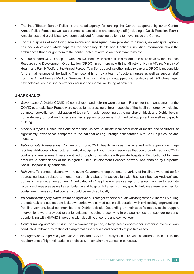- The Indo-Tibetan Border Police is the nodal agency for running the Centre, supported by other Central Armed Police Forces as well as paramedics, assistants and security staff (including a Quick Reaction Team). Ambulances and e-vehicles have been deployed for enabling patients to move inside the Centre.
- For the purposes of monitoring admissions and subsequent care provided to patients, an e-hospital system has been developed which captures the necessary details about patients including information about the ambulances that brought them to the centre, dates of admission, their symptoms etc.
- A 1,000-bedded COVID hospital, with 250 ICU beds, was also built in a record time of 12 days by the Defence Research and Development Organization (DRDO) in partnership with the Ministry of Home Affairs, Ministry of Health and Family Welfare, the Armed Forces, Tata Sons as well as other industry players. DRDO is responsible for the maintenance of the facility. The hospital is run by a team of doctors, nurses as well as support staff from the Armed Forces Medical Services. The hospital is also equipped with a dedicated DRDO-managed psychological counselling centre for ensuring the mental wellbeing of patients.

#### **JHARKHAND5**

- *Governance:* A District COVID-19 control room and helpline were set up in Ranchi for the management of the COVID outbreak. Task Forces were set up for addressing different aspects of the health emergency including perimeter surveillance; mobilization of teams for health screening at the panchayat, block and District levels; home delivery of food and other essential supplies; procurement of medical equipment as well as capacity building.
- *Medical supplies:* Ranchi was one of the first Districts to initiate local production of masks and sanitizers, at significantly lower prices compared to the national ceiling, through collaboration with Self-Help Groups and industry.
- *Public-private Partnerships:* Continuity of non-COVID health services was ensured with appropriate triage facilities. Additional infrastructure, medical equipment and human resources that could be utilized for COVID control and management were identified through consultations with private hospitals. Distribution of hygiene products to beneficiaries of the Integrated Child Development Services network was enabled by Corporate Social Responsibility donations.
- *Helplines:* To connect citizens with relevant Government departments, a variety of helplines were set up for addressing issues related to mental health, child abuse (in association with Bachpan Bachao Andolan) and domestic violence, among others. A dedicated 24×7 helpline was also set up for pregnant women to facilitate issuance of e-passes as well as ambulance and hospital linkages. Further, specific helplines were launched for containment zones so that concerns could be resolved locally.
- *Vulnerability mapping:* A detailed mapping of various categories of individuals with heightened vulnerability during the outbreak and subsequent lockdown period was carried out in collaboration with civil society organizations, frontline workers, local communities and District officials. Depending on their specific needs, social support interventions were provided to senior citizens, including those living in old age homes; transgender persons; people living with HIV/AIDS; persons with disability; prisoners and sex workers.
- *Contact tracing and screening:* Over a two-month period, a large-scale door-to-door screening exercise was conducted, followed by testing of symptomatic individuals and contacts of positive cases.
- *Management of high-risk patients:* A dedicated COVID-19 dialysis centre was established to cater to the requirements of high-risk patients on dialysis, in containment zones, in particular.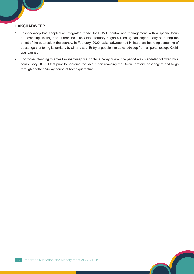#### **LAKSHADWEEP**

- Lakshadweep has adopted an integrated model for COVID control and management, with a special focus on screening, testing and quarantine. The Union Territory began screening passengers early on during the onset of the outbreak in the country. In February, 2020, Lakshadweep had initiated pre-boarding screening of passengers entering its territory by air and sea. Entry of people into Lakshadweep from all ports, except Kochi, was banned.
- For those intending to enter Lakshadweep via Kochi, a 7-day quarantine period was mandated followed by a compulsory COVID test prior to boarding the ship. Upon reaching the Union Territory, passengers had to go through another 14-day period of home quarantine.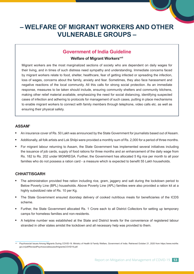## **– WELFARE OF MIGRANT WORKERS AND OTHER VULNERABLE GROUPS –**

#### **Government of India Guideline**

#### **Welfare of Migrant Workers**xvii

Migrant workers are the most marginalized sections of society who are dependent on daily wages for their living, and in times of such distress need sympathy and understanding. Immediate concerns faced by migrant workers relate to food, shelter, healthcare, fear of getting infected or spreading the infection, loss of wages, concerns about the family, anxiety and fear. Sometimes, they also face harassment and negative reactions of the local community. All this calls for strong social protection. As an immediate response, measures to be taken should include, ensuring community shelters and community kitchens, making other relief material available, emphasizing the need for social distancing, identifying suspected cases of infection and adhering to protocols for management of such cases, putting in place mechanisms to enable migrant workers to connect with family members through telephone, video calls etc. as well as ensuring their physical safety.

#### **ASSAM1**

- An insurance cover of Rs. 50 Lakh was announced by the State Government for journalists based out of Assam.
- Additionally, all folk artists and Lok Shilpi were provided a monthly sum of Rs. 2,000 for a period of three months.
- For migrant labour returning to Assam, the State Government has implemented several initiatives including the issuance of job cards, supply of food rations for three months and an enhancement of the daily wage from Rs. 182 to Rs. 202 under MGNREGA. Further, the Government has allocated 5 Kg rice per month to all poor families who do not possess a ration card - a measure which is expected to benefit 55 Lakh households.

#### **CHHATTISGARH**

- The administration provided free ration including rice, gram, jaggery and salt during the lockdown period to Below Poverty Line (BPL) households. Above Poverty Line (APL) families were also provided a ration kit at a highly subsidized rate of Rs. 10 per Kg.
- The State Government ensured doorstep delivery of cooked nutritious meals for beneficiaries of the ICDS scheme.
- Further, the State Government allocated Rs. 1 Crore each to all District Collectors for setting up temporary camps for homeless families and non-residents.
- A helpline number was established at the State and District levels for the convenience of registered labour stranded in other states amidst the lockdown and all necessary help was provided to them.

Psychosocial Issues Among Migrants During COVID-19. Ministry of Health & Family Welfare, Government of India. Retrieved October 21, 2020 from https://www.mohfw. gov.in/pdf/RevisedPsychosocialissuesofmigrantsCOVID19.pdf.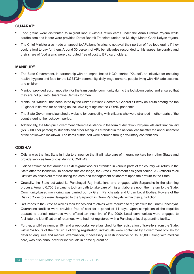#### **GUJARAT8**

- Food grains were distributed to migrant labour without ration cards under the Anna Brahma Yojana while cardholders and labour were provided Direct Benefit Transfers under the Mukhya Mantri Garib Kalyan Yojana.
- The Chief Minister also made an appeal to APL beneficiaries to not avail their portion of free food grains if they could afford to pay for them. Around 30 percent of APL beneficiaries responded to this appeal favourably and their share of food grains were distributed free of cost to BPL cardholders.

#### **MANIPUR13**

- The State Government, in partnership with an Imphal-based NGO, started "Khudol", an initiative for ensuring health, hygiene and food for the LGBTQI+ community, daily wage earners, people living with HIV, adolescents, and children.
- Manipur provided accommodation for the transgender community during the lockdown period and ensured that they are not put into Quarantine Centres for men.
- Manipur's "Khudol" has been listed by the United Nations Secretary-General's Envoy on Youth among the top 10 global initiatives for enabling an inclusive fight against the COVID pandemic.
- The State Government launched a website for connecting with citizens who were stranded in other parts of the country during the lockdown period.
- Additionally, the Manipur Government offered assistance in the form of dry ration, hygiene kits and financial aid (Rs. 2,000 per person) to students and other Manipuris stranded in the national capital after the announcement of the nationwide lockdown. The items distributed were sourced through voluntary contributions.

#### **ODISHA5**

- Odisha was the first State in India to announce that it will take care of migrant workers from other States and provide services free of cost during COVID-19.
- Odisha estimated that around 5 Lakh migrant workers stranded in various parts of the country will return to the State after the lockdown. To address this challenge, the State Government assigned senior I.A.S officers to all Districts as observers for facilitating the care and management of laborers upon their return to the State.
- Crucially, the State activated its Panchayati Raj Institutions and engaged with Sarpanchs in the planning process. Around 6,700 Sarpanchs took an oath to take care of migrant laborers upon their return to the State. Community-based monitoring was carried out by Gram Panchayats and Urban Local Bodies. Powers of the District Collectors were delegated to the Sarpanch in Gram Panchayats within their jurisdiction.
- Returnees to the State as well as their friends and relatives were required to register with the Gram Panchayat. Quarantine facilities were provided free of cost for a period of 14 days. Upon completion of the requisite quarantine period, returnees were offered an incentive of Rs. 2000. Local communities were engaged to facilitate the identification of returnees who had not registered with a Panchayat-level quarantine facility.
- Further, a toll-free number 104 and a web portal were launched for the registration of travellers from the State, within 24 hours of their return. Following registration, individuals were contacted by Government officials for detailed enquiries and medical examination, if necessary. A cash incentive of Rs. 15,000, along with medical care, was also announced for individuals in home quarantine.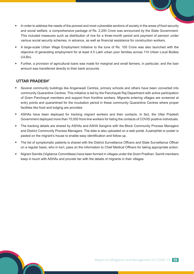- In order to address the needs of the poorest and most vulnerable sections of society in the areas of food security and social welfare, a comprehensive package of Rs. 2,200 Crore was announced by the State Government. This included measures such as distribution of rice for a three-month period and payment of pension under various social security schemes, in advance, as well as financial assistance for construction workers.
- A large-scale Urban Wage Employment Initiative to the tune of Rs. 100 Crore was also launched with the objective of generating employment for at least 4.5 Lakh urban poor families across 114 Urban Local Bodies (ULBs).
- Further, a provision of agricultural loans was made for marginal and small farmers, in particular, and the loan amount was transferred directly to their bank accounts.

#### **UTTAR PRADESH7**

- Several community buildings like Anganwadi Centres, primary schools and others have been converted into community Quarantine Centres. This initiative is led by the Panchayati Raj Department with active participation of Gram Panchayat members and support from frontline workers. Migrants entering villages are screened at entry points and quarantined for the incubation period in these community Quarantine Centres where proper facilities like food and lodging are provided.
- ASHAs have been deployed for tracking migrant workers and their contacts. In fact, the Uttar Pradesh Government deployed more than 70,000 front-line workers for listing the contacts of COVID positive individuals.
- The tracking details are shared by ASHAs and ASHA Sanginis with the Block Community Process Managers and District Community Process Managers. The data is also uploaded on a web portal. A pamphlet or poster is pasted on the migrant's house to enable easy identification and follow-up.
- The list of symptomatic patients is shared with the District Surveillance Officers and State Surveillance Officer on a regular basis, who in turn, pass on the information to Chief Medical Officers for taking appropriate action.
- Nigrani Samitis (Vigilance Committees) have been formed in villages under the Gram Pradhan. Samiti members keep in touch with ASHAs and provide her with the details of migrants in their villages.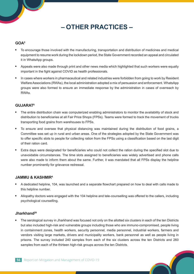## **– OTHER PRACTICES –**

#### **GOA5**

- To encourage those involved with the manufacturing, transportation and distribution of medicines and medical equipment to resume work during the lockdown period, the State Government recorded an appeal and circulated it in WhatsApp groups.
- Appeals were also made through print and other news media which highlighted that such workers were equally important in the fight against COVID as health professionals.
- In cases where workers in pharmaceutical and related industries were forbidden from going to work by Resident Welfare Associations (RWAs), the local administration adopted a mix of persuasion and enforcement. WhatsApp groups were also formed to ensure an immediate response by the administration in cases of overreach by RWAs.

#### **GUJARAT8**

- The entire distribution chain was computerized enabling administrators to monitor the availability of stock and distribution to beneficiaries at all Fair Price Shops (FPSs). Teams were formed to track the movement of trucks transporting food grains from warehouses to FPSs.
- To ensure and oversee that physical distancing was maintained during the distribution of food grains, a Committee was set up in rural and urban areas. One of the strategies adopted by the State Government was to offer specific slots to people for collecting ration from the FPSs using a classification based on the last digit of their ration card.
- Extra days were designated for beneficiaries who could not collect the ration during the specified slot due to unavoidable circumstances. The time slots assigned to beneficiaries was widely advertised and phone calls were also made to inform them about the same. Further, it was mandated that all FPSs display the helpline number prominently for grievance redressal.

#### **JAMMU & KASHMIR4**

- A dedicated helpline, 104, was launched and a separate flowchart prepared on how to deal with calls made to this helpline number.
- Allopathy doctors were engaged with the 104 helpline and tele-counselling was offered to the callers, including psychological counselling.

#### **Jharkhand20**

 The serological survey in Jharkhand was focused not only on the allotted six clusters in each of the ten Districts but also included high-risk and vulnerable groups including those who are immuno-compromised, people living in containment zones, health workers, security personnel, media personnel, industrial workers, farmers and vendors visiting large markets, drivers and municipality workers, bank personnel as well as people living in prisons. The survey included 240 samples from each of the six clusters across the ten Districts and 260 samples from each of the thirteen high-risk groups across the ten Districts.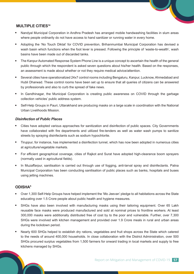#### **MULTIPLE CITIES14**

- Nandyal Municipal Corporation in Andhra Pradesh has arranged mobile handwashing facilities in slum areas where people ordinarily do not have access to hand sanitizer or running water in every home.
- Adopting the 'No Touch Diktat' for COVID prevention, Brihanmumbai Municipal Corporation has devised a wash basin which functions when the foot lever is pressed. Following the principle of 'waste-to-wealth', wash basins have been made out of discarded tanks.
- The Kanpur Automated Response System Phone Line is a unique concept to ascertain the health of the general public through which the respondent is asked seven questions about his/her health. Based on the responses, an assessment is made about whether or not they require medical advice/attention.
- Several cities have operationalized 24x7 control rooms including Bengaluru, Kanpur, Lucknow, Ahmedabad and Hubli Dharwad. These control rooms have been set up to ensure that all queries of citizens can be answered by professionals and also to curb the spread of fake news.
- In Gandhinagar, the Municipal Corporation is creating public awareness on COVID through the garbage collection vehicles' public address system.
- Self-Help Groups in Pauri, Uttarakhand are producing masks on a large scale in coordination with the National Urban Livelihoods Mission.

#### *Disinfection of Public Places*

- Cities have adopted various approaches for sanitization and disinfection of public spaces. City Governments have collaborated with fire departments and utilized fire-tenders as well as water wash pumps to sanitize streets by spraying disinfectants such as sodium hypochlorite.
- Tiruppur, for instance, has implemented a disinfection tunnel, which has now been adopted in numerous cities at agriculture/vegetable markets.
- For efficient geographical coverage, cities of Rajkot and Surat have adopted high-clearance boom sprayers (normally used in agricultural fields).
- In Muzaffarpur, sanitisation is carried out through use of fogging, anti-larval spray and disinfectants. Patna Municipal Corporation has been conducting sanitisation of public places such as banks, hospitals and buses using jetting machines.

#### **ODISHA5**

- Over 1,300 Self-Help Groups have helped implement the 'Mo Jeevan' pledge to all habitations across the State educating over 1.5 Crore people about public health and hygiene measures.
- SHGs have also been involved with manufacturing masks using their tailoring equipment. Over 65 Lakh reusable face masks were produced manufactured and sold at nominal prices to frontline workers. At least 300,000 masks were additionally distributed free of cost by to the poor and vulnerable. Further, over 7,300 SHGs were involved with kitchen management and provided over 1.9 Crore meals in rural and urban areas during the lockdown period.
- Nearly 600 SHGs helped to establish dry rations, vegetables and fruit shops across the State which catered to the needs of around 400,000 households. In close collaboration with the District Administration, over 500 SHGs procured surplus vegetables from 1,500 farmers for onward trading in local markets and supply to free kitchens managed by SHGs.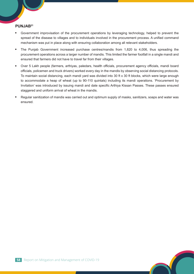#### **PUNJAB21**

- Government improvisation of the procurement operations by leveraging technology, helped to prevent the spread of the disease to villages and to individuals involved in the procurement process. A unified command mechanism was put in place along with ensuring collaboration among all relevant stakeholders.
- The Punjab Government increased purchase centres/mandis from 1,820 to 4,006, thus spreading the procurement operations across a larger number of mandis. This limited the farmer footfall in a single mandi and ensured that farmers did not have to travel far from their villages.
- Over 5 Lakh people (farmers, arthiyas, paledars, health officials, procurement agency officials, mandi board officials, policemen and truck drivers) worked every day in the mandis by observing social distancing protocols. To maintain social distancing, each mandi yard was divided into 30 ft x 30 ft blocks, which were large enough to accommodate a heap of wheat (up to 90-110 quintals) including its mandi operations. 'Procurement by Invitation' was introduced by issuing mandi and date specific Arthiya Kissan Passes. These passes ensured staggered and uniform arrival of wheat in the mandis.
- Regular sanitization of mandis was carried out and optimum supply of masks, sanitizers, soaps and water was ensured.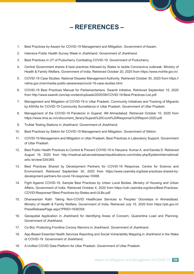## **– REFERENCES –**

- 1. Best Practices by Assam for COVID-19 Management and Mitigation. Government of Assam.
- 2. Intensive Public Health Survey Week in Jharkhand. Government of Jharkhand.
- 3. Best Practices in UT of Puducherry Combating COVID-19. Government of Puducherry.
- 4. Central Government shares 8 best practices followed by States to tackle Coronavirus outbreak. Ministry of Health & Family Welfare, Government of India. Retrieved October 20, 2020 from https://www.mohfw.gov.in/.
- 5. COVID-19 Case Studies. National Disaster Management Authority. Retrieved October 30, 2020 from https:// ndma.gov.in/en/media-public-awareness/covid-19-case-studies.html.
- 6. COVID-19 Best Practices Manual for Parliamentarians. Swaniti Initiative. Retrieved September 15, 2020 from http://www.swaniti.com/wp-content/uploads/2020/08/COVID-19-Best-Practices-List.pdf.
- 7. Management and Mitigation of COVID-19 in Uttar Pradesh, Community Initiatives and Tracking of Migrants by ASHAs for COVID-19 Community Surveillance in Uttar Pradesh. Government of Uttar Pradesh.
- 8. Management of the COVID-19 Pandemic in Gujarat. IIM Ahmedabad. Retrieved October 10, 2020 from https://www.iima.ac.in/c/document\_library/Gujarat%20Covid%20Response%20Report-2020.pdf.
- 9. TruNat Testing Stations in Jharkhand. Government of Jharkhand.
- 10. Best Practices by Sikkim for COVID-19 Management and Mitigation. Government of Sikkim.
- 11. COVID-19 Management and Mitigation in Uttar Pradesh, Best Practices in Laboratory Support. Government of Uttar Pradesh.
- 12. Best Public Health Practices to Control & Prevent COVID-19 in Haryana. Kumar A. and Karotia D. Retrieved August 19, 2020 from http://medical.advancedresearchpublications.com/index.php/EpidemInternational/ artic le/view/324/265.
- 13. Best Practices Shared by Development Partners for COVID-19 Response. Centre for Science and Environment. Retrieved September 30, 2020 from https://www.cseindia.org/best-practices-shared-bydevelopment-partners-for-covid-19-response-10068.
- 14. Fight Against COVID-19, Sample Best Practices by Urban Local Bodies. Ministry of Housing and Urban Affairs, Government of India. Retrieved October 4, 2020 from https://cdn.cseindia.org/docs/Best-Practices-COVID-Response/1Best-Practices-by-States-and-ULBs.pdf.
- 15. Dhanwantari Rath: Taking Non-COVID Healthcare Services to Peoples' Doorsteps in Ahmedabad. Ministry of Health & Family Welfare, Government of India. Retrieved July 15, 2020 from https://pib.gov.in/ PressReleasePage.aspx?PRID=1636359.
- 16. Geospatial Application in Jharkhand for Identifying Areas of Concern, Quarantine Load and Planning. Government of Jharkhand.
- 17. Co-Bot, Protecting Frontline Corona Warriors in Jharkhand. Government of Jharkhand.
- 18. App-Based Essential Health Services Reporting and Social Vulnerability Mapping in Jharkhand in the Wake of COVID-19. Government of Jharkhand.
- 19. A Unified COVID Data Platform for Uttar Pradesh. Government of Uttar Pradesh.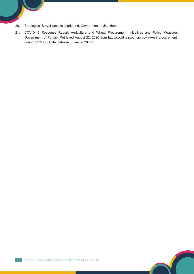- 20. Serological-Surveillance in Jharkhand. Government of Jharkhand.
- 21. COVID-19 Response Report, Agriculture and Wheat Procurement, Initiatives and Policy Measures. Government of Punjab. Retrieved August 22, 2020 from http://covidhelp.punjab.gov.in/Agri\_procurement\_ during\_COVID\_Digital\_release\_Ju ne\_2020.pdf.